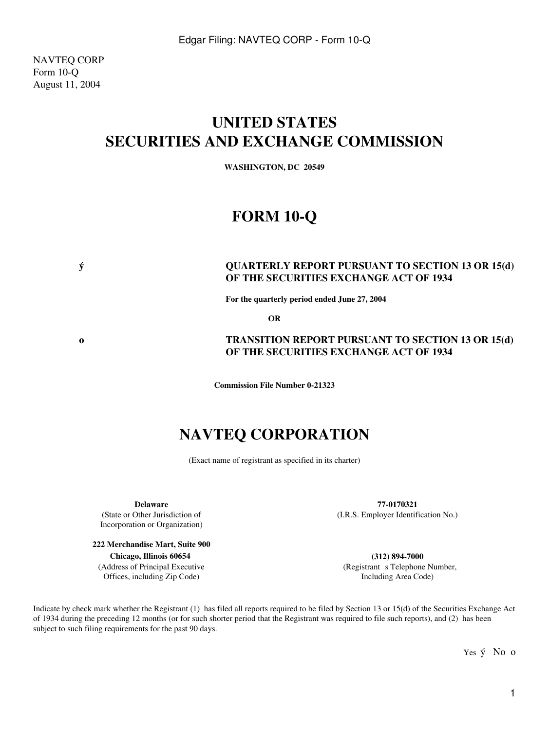NAVTEQ CORP Form 10-Q August 11, 2004

# **UNITED STATES SECURITIES AND EXCHANGE COMMISSION**

**WASHINGTON, DC 20549**

# **FORM 10-Q**

### **ý QUARTERLY REPORT PURSUANT TO SECTION 13 OR 15(d) OF THE SECURITIES EXCHANGE ACT OF 1934**

**For the quarterly period ended June 27, 2004**

**OR**

### **o TRANSITION REPORT PURSUANT TO SECTION 13 OR 15(d) OF THE SECURITIES EXCHANGE ACT OF 1934**

**Commission File Number 0-21323**

# **NAVTEQ CORPORATION**

(Exact name of registrant as specified in its charter)

(State or Other Jurisdiction of Incorporation or Organization)

**222 Merchandise Mart, Suite 900 Chicago, Illinois 60654 (312) 894-7000** (Address of Principal Executive Offices, including Zip Code)

**Delaware 77-0170321** (I.R.S. Employer Identification No.)

> (Registrant s Telephone Number, Including Area Code)

Indicate by check mark whether the Registrant (1) has filed all reports required to be filed by Section 13 or 15(d) of the Securities Exchange Act of 1934 during the preceding 12 months (or for such shorter period that the Registrant was required to file such reports), and (2) has been subject to such filing requirements for the past 90 days.

Yes ý No o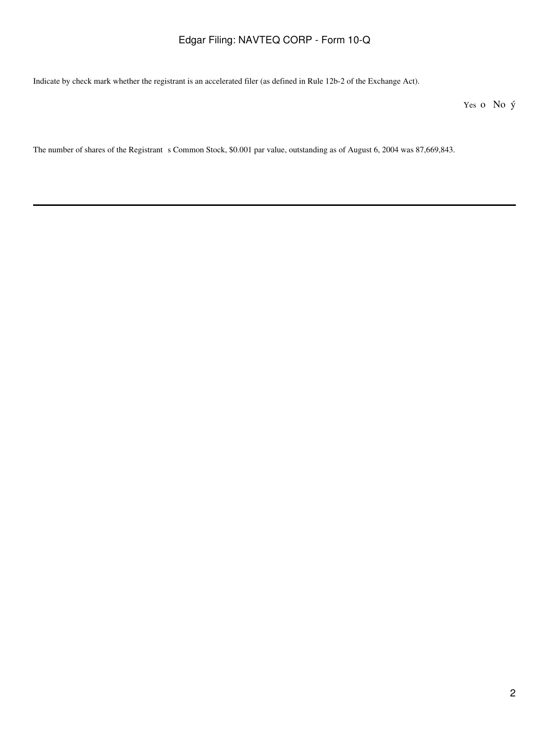Indicate by check mark whether the registrant is an accelerated filer (as defined in Rule 12b-2 of the Exchange Act).

Yes o No ý

The number of shares of the Registrant s Common Stock, \$0.001 par value, outstanding as of August 6, 2004 was 87,669,843.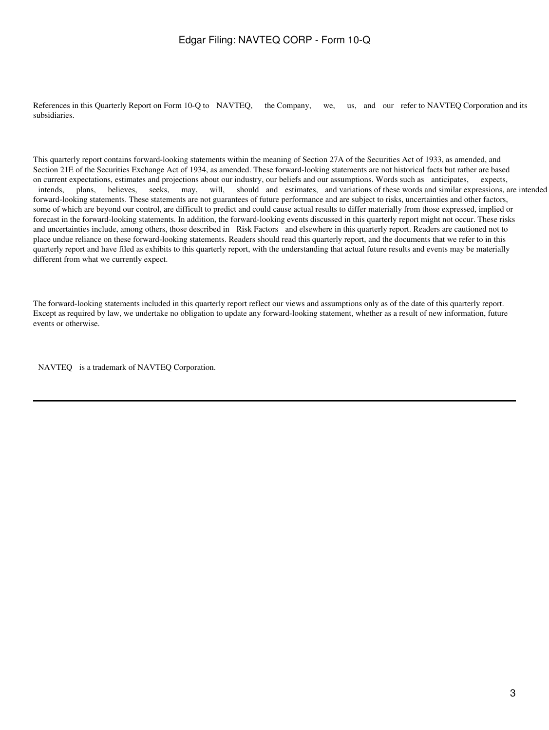References in this Quarterly Report on Form 10-Q to NAVTEQ, the Company, we, us, and our refer to NAVTEQ Corporation and its subsidiaries.

This quarterly report contains forward-looking statements within the meaning of Section 27A of the Securities Act of 1933, as amended, and Section 21E of the Securities Exchange Act of 1934, as amended. These forward-looking statements are not historical facts but rather are based on current expectations, estimates and projections about our industry, our beliefs and our assumptions. Words such as anticipates, expects, intends, plans, believes, seeks, may, will, should and estimates, and variations of these words and similar expressions, are intended forward-looking statements. These statements are not guarantees of future performance and are subject to risks, uncertainties and other factors, some of which are beyond our control, are difficult to predict and could cause actual results to differ materially from those expressed, implied or forecast in the forward-looking statements. In addition, the forward-looking events discussed in this quarterly report might not occur. These risks and uncertainties include, among others, those described in Risk Factors and elsewhere in this quarterly report. Readers are cautioned not to place undue reliance on these forward-looking statements. Readers should read this quarterly report, and the documents that we refer to in this quarterly report and have filed as exhibits to this quarterly report, with the understanding that actual future results and events may be materially different from what we currently expect.

The forward-looking statements included in this quarterly report reflect our views and assumptions only as of the date of this quarterly report. Except as required by law, we undertake no obligation to update any forward-looking statement, whether as a result of new information, future events or otherwise.

NAVTEQ is a trademark of NAVTEQ Corporation.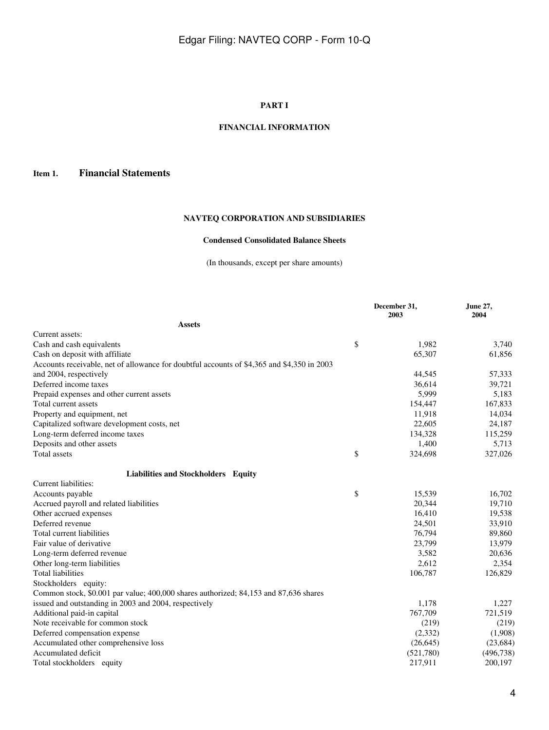### **PART I**

### **FINANCIAL INFORMATION**

### **Item 1. Financial Statements**

### **NAVTEQ CORPORATION AND SUBSIDIARIES**

### **Condensed Consolidated Balance Sheets**

(In thousands, except per share amounts)

|                                                                                            | December 31,<br>2003 | <b>June 27,</b><br>2004 |
|--------------------------------------------------------------------------------------------|----------------------|-------------------------|
| <b>Assets</b>                                                                              |                      |                         |
| Current assets:                                                                            |                      |                         |
| Cash and cash equivalents                                                                  | \$<br>1,982          | 3,740                   |
| Cash on deposit with affiliate                                                             | 65,307               | 61,856                  |
| Accounts receivable, net of allowance for doubtful accounts of \$4,365 and \$4,350 in 2003 |                      |                         |
| and 2004, respectively                                                                     | 44,545               | 57,333                  |
| Deferred income taxes                                                                      | 36,614               | 39,721                  |
| Prepaid expenses and other current assets                                                  | 5,999                | 5,183                   |
| Total current assets                                                                       | 154,447              | 167,833                 |
| Property and equipment, net                                                                | 11,918               | 14,034                  |
| Capitalized software development costs, net                                                | 22,605               | 24,187                  |
| Long-term deferred income taxes                                                            | 134,328              | 115,259                 |
| Deposits and other assets                                                                  | 1,400                | 5,713                   |
| <b>Total</b> assets                                                                        | \$<br>324,698        | 327,026                 |
| Liabilities and Stockholders Equity                                                        |                      |                         |
| Current liabilities:                                                                       |                      |                         |
| Accounts payable                                                                           | \$<br>15,539         | 16,702                  |
| Accrued payroll and related liabilities                                                    | 20,344               | 19,710                  |
| Other accrued expenses                                                                     | 16,410               | 19,538                  |
| Deferred revenue                                                                           | 24,501               | 33,910                  |
| Total current liabilities                                                                  | 76,794               | 89,860                  |
| Fair value of derivative                                                                   | 23,799               | 13,979                  |
| Long-term deferred revenue                                                                 | 3,582                | 20,636                  |
| Other long-term liabilities                                                                | 2.612                | 2,354                   |
| <b>Total liabilities</b>                                                                   | 106,787              | 126,829                 |
| Stockholders equity:                                                                       |                      |                         |
| Common stock, \$0.001 par value; 400,000 shares authorized; 84,153 and 87,636 shares       |                      |                         |
| issued and outstanding in 2003 and 2004, respectively                                      | 1,178                | 1,227                   |
| Additional paid-in capital                                                                 | 767,709              | 721,519                 |
| Note receivable for common stock                                                           | (219)                | (219)                   |
| Deferred compensation expense                                                              | (2,332)              | (1,908)                 |
| Accumulated other comprehensive loss                                                       | (26, 645)            | (23, 684)               |
| Accumulated deficit                                                                        | (521,780)            | (496, 738)              |
| Total stockholders equity                                                                  | 217.911              | 200,197                 |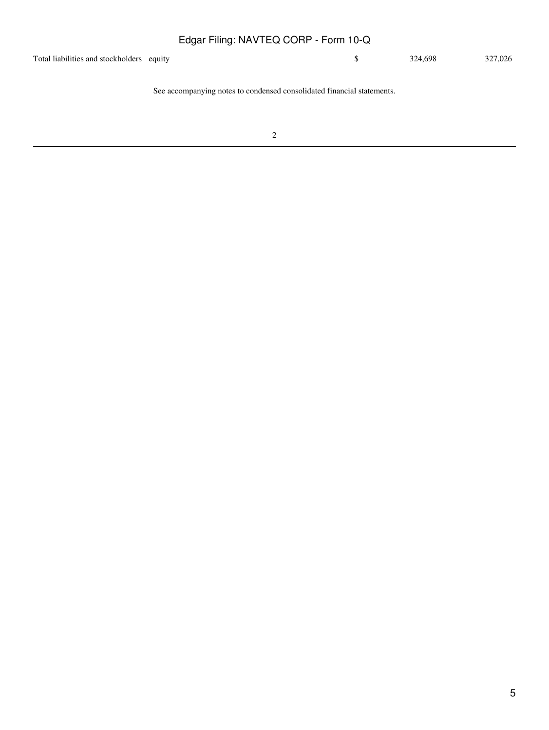| Edgar Filing: NAVTEQ CORP - Form 10-Q     |  |  |  |         |         |  |  |  |
|-------------------------------------------|--|--|--|---------|---------|--|--|--|
| Total liabilities and stockholders equity |  |  |  | 324.698 | 327,026 |  |  |  |
|                                           |  |  |  |         |         |  |  |  |

See accompanying notes to condensed consolidated financial statements.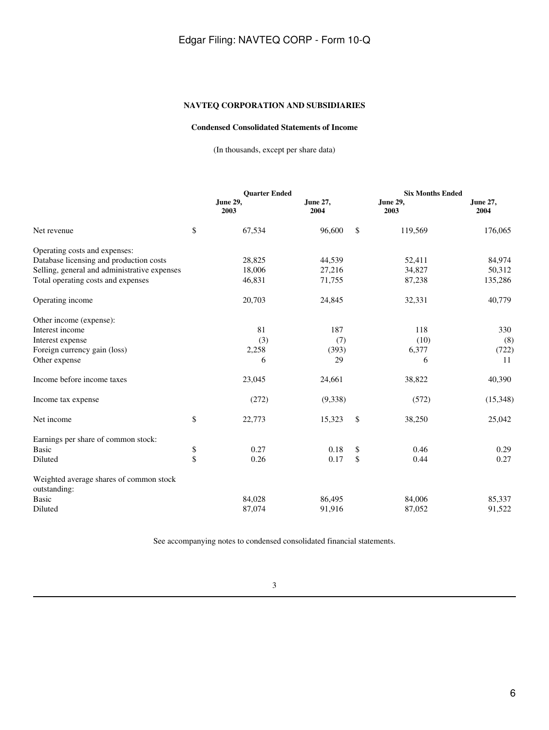## **NAVTEQ CORPORATION AND SUBSIDIARIES**

### **Condensed Consolidated Statements of Income**

(In thousands, except per share data)

|                                                         | <b>Quarter Ended</b>    |                  |    | <b>Six Months Ended</b> |                  |
|---------------------------------------------------------|-------------------------|------------------|----|-------------------------|------------------|
|                                                         | <b>June 29,</b><br>2003 | June 27,<br>2004 |    | <b>June 29,</b><br>2003 | June 27,<br>2004 |
| Net revenue                                             | \$<br>67,534            | 96,600           | \$ | 119,569                 | 176,065          |
| Operating costs and expenses:                           |                         |                  |    |                         |                  |
| Database licensing and production costs                 | 28,825                  | 44,539           |    | 52,411                  | 84,974           |
| Selling, general and administrative expenses            | 18,006                  | 27,216           |    | 34,827                  | 50,312           |
| Total operating costs and expenses                      | 46,831                  | 71,755           |    | 87,238                  | 135,286          |
| Operating income                                        | 20,703                  | 24,845           |    | 32,331                  | 40,779           |
| Other income (expense):                                 |                         |                  |    |                         |                  |
| Interest income                                         | 81                      | 187              |    | 118                     | 330              |
| Interest expense                                        | (3)                     | (7)              |    | (10)                    | (8)              |
| Foreign currency gain (loss)                            | 2,258                   | (393)            |    | 6,377                   | (722)            |
| Other expense                                           | 6                       | 29               |    | 6                       | 11               |
| Income before income taxes                              | 23,045                  | 24,661           |    | 38,822                  | 40,390           |
| Income tax expense                                      | (272)                   | (9,338)          |    | (572)                   | (15,348)         |
| Net income                                              | \$<br>22,773            | 15,323           | \$ | 38,250                  | 25,042           |
| Earnings per share of common stock:                     |                         |                  |    |                         |                  |
| <b>Basic</b>                                            | \$<br>0.27              | 0.18             | \$ | 0.46                    | 0.29             |
| Diluted                                                 | \$<br>0.26              | 0.17             | \$ | 0.44                    | 0.27             |
| Weighted average shares of common stock<br>outstanding: |                         |                  |    |                         |                  |
| <b>Basic</b>                                            | 84,028                  | 86,495           |    | 84,006                  | 85,337           |
| Diluted                                                 | 87,074                  | 91,916           |    | 87,052                  | 91,522           |
|                                                         |                         |                  |    |                         |                  |

See accompanying notes to condensed consolidated financial statements.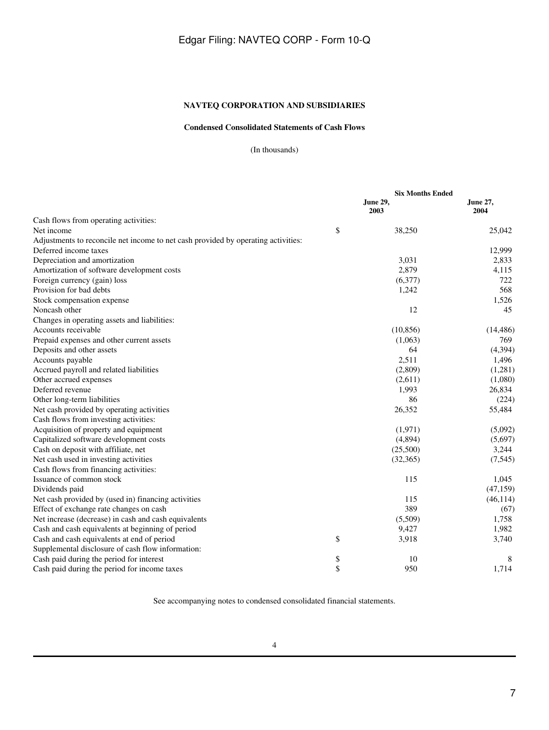## **NAVTEQ CORPORATION AND SUBSIDIARIES**

### **Condensed Consolidated Statements of Cash Flows**

### (In thousands)

|                                                                                   | <b>Six Months Ended</b> |                  |
|-----------------------------------------------------------------------------------|-------------------------|------------------|
|                                                                                   | June 29,<br>2003        | June 27,<br>2004 |
| Cash flows from operating activities:                                             |                         |                  |
| Net income                                                                        | \$<br>38,250            | 25,042           |
| Adjustments to reconcile net income to net cash provided by operating activities: |                         |                  |
| Deferred income taxes                                                             |                         | 12,999           |
| Depreciation and amortization                                                     | 3,031                   | 2,833            |
| Amortization of software development costs                                        | 2,879                   | 4,115            |
| Foreign currency (gain) loss                                                      | (6,377)                 | 722              |
| Provision for bad debts                                                           | 1,242                   | 568              |
| Stock compensation expense                                                        |                         | 1,526            |
| Noncash other                                                                     | 12                      | 45               |
| Changes in operating assets and liabilities:                                      |                         |                  |
| Accounts receivable                                                               | (10, 856)               | (14, 486)        |
| Prepaid expenses and other current assets                                         | (1,063)                 | 769              |
| Deposits and other assets                                                         | 64                      | (4, 394)         |
| Accounts payable                                                                  | 2,511                   | 1,496            |
| Accrued payroll and related liabilities                                           | (2,809)                 | (1,281)          |
| Other accrued expenses                                                            | (2,611)                 | (1,080)          |
| Deferred revenue                                                                  | 1,993                   | 26,834           |
| Other long-term liabilities                                                       | 86                      | (224)            |
| Net cash provided by operating activities                                         | 26,352                  | 55,484           |
| Cash flows from investing activities:                                             |                         |                  |
| Acquisition of property and equipment                                             | (1,971)                 | (5,092)          |
| Capitalized software development costs                                            | (4,894)                 | (5,697)          |
| Cash on deposit with affiliate, net                                               | (25,500)                | 3,244            |
| Net cash used in investing activities                                             | (32,365)                | (7, 545)         |
| Cash flows from financing activities:                                             |                         |                  |
| Issuance of common stock                                                          | 115                     | 1,045            |
| Dividends paid                                                                    |                         | (47, 159)        |
| Net cash provided by (used in) financing activities                               | 115                     | (46, 114)        |
| Effect of exchange rate changes on cash                                           | 389                     | (67)             |
| Net increase (decrease) in cash and cash equivalents                              | (5,509)                 | 1,758            |
| Cash and cash equivalents at beginning of period                                  | 9,427                   | 1,982            |
| Cash and cash equivalents at end of period                                        | \$<br>3,918             | 3,740            |
| Supplemental disclosure of cash flow information:                                 |                         |                  |
| Cash paid during the period for interest                                          | \$<br>10                | 8                |
| Cash paid during the period for income taxes                                      | \$<br>950               | 1,714            |

See accompanying notes to condensed consolidated financial statements.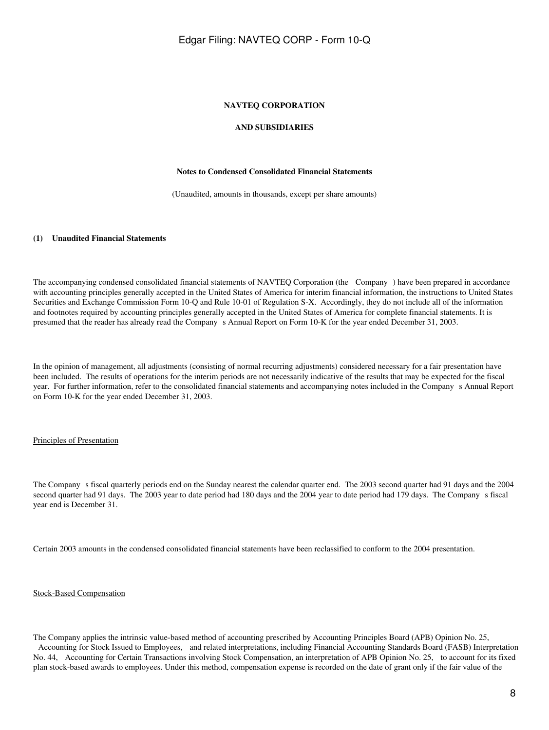#### **NAVTEQ CORPORATION**

### **AND SUBSIDIARIES**

#### **Notes to Condensed Consolidated Financial Statements**

(Unaudited, amounts in thousands, except per share amounts)

### **(1) Unaudited Financial Statements**

The accompanying condensed consolidated financial statements of NAVTEQ Corporation (the Company) have been prepared in accordance with accounting principles generally accepted in the United States of America for interim financial information, the instructions to United States Securities and Exchange Commission Form 10-Q and Rule 10-01 of Regulation S-X. Accordingly, they do not include all of the information and footnotes required by accounting principles generally accepted in the United States of America for complete financial statements. It is presumed that the reader has already read the Companys Annual Report on Form 10-K for the year ended December 31, 2003.

In the opinion of management, all adjustments (consisting of normal recurring adjustments) considered necessary for a fair presentation have been included. The results of operations for the interim periods are not necessarily indicative of the results that may be expected for the fiscal year. For further information, refer to the consolidated financial statements and accompanying notes included in the Companys Annual Report on Form 10-K for the year ended December 31, 2003.

### Principles of Presentation

The Company s fiscal quarterly periods end on the Sunday nearest the calendar quarter end. The 2003 second quarter had 91 days and the 2004 second quarter had 91 days. The 2003 year to date period had 180 days and the 2004 year to date period had 179 days. The Companys fiscal year end is December 31.

Certain 2003 amounts in the condensed consolidated financial statements have been reclassified to conform to the 2004 presentation.

#### Stock-Based Compensation

The Company applies the intrinsic value-based method of accounting prescribed by Accounting Principles Board (APB) Opinion No. 25, Accounting for Stock Issued to Employees, and related interpretations, including Financial Accounting Standards Board (FASB) Interpretation No. 44, Accounting for Certain Transactions involving Stock Compensation, an interpretation of APB Opinion No. 25, to account for its fixed plan stock-based awards to employees. Under this method, compensation expense is recorded on the date of grant only if the fair value of the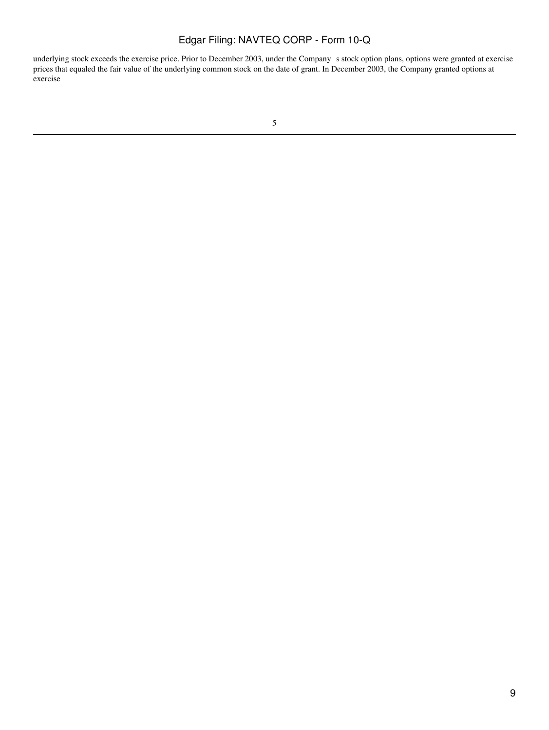underlying stock exceeds the exercise price. Prior to December 2003, under the Company s stock option plans, options were granted at exercise prices that equaled the fair value of the underlying common stock on the date of grant. In December 2003, the Company granted options at exercise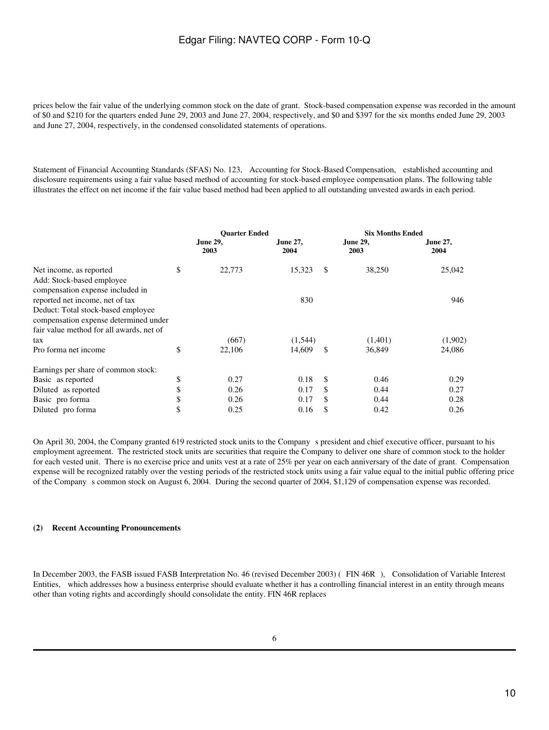prices below the fair value of the underlying common stock on the date of grant. Stock-based compensation expense was recorded in the amount of \$0 and \$210 for the quarters ended June 29, 2003 and June 27, 2004, respectively, and \$0 and \$397 for the six months ended June 29, 2003 and June 27, 2004, respectively, in the condensed consolidated statements of operations.

Statement of Financial Accounting Standards (SFAS) No. 123, Accounting for Stock-Based Compensation, established accounting and disclosure requirements using a fair value based method of accounting for stock-based employee compensation plans. The following table illustrates the effect on net income if the fair value based method had been applied to all outstanding unvested awards in each period.

|                                                                                                                                                            | <b>Quarter Ended</b> |                  |               | <b>Six Months Ended</b> |                  |  |
|------------------------------------------------------------------------------------------------------------------------------------------------------------|----------------------|------------------|---------------|-------------------------|------------------|--|
|                                                                                                                                                            | June 29,<br>2003     | June 27,<br>2004 |               | June 29,<br>2003        | June 27,<br>2004 |  |
| Net income, as reported<br>Add: Stock-based employee<br>compensation expense included in                                                                   | \$<br>22,773         | 15,323<br>830    | \$            | 38,250                  | 25,042<br>946    |  |
| reported net income, net of tax<br>Deduct: Total stock-based employee<br>compensation expense determined under<br>fair value method for all awards, net of |                      |                  |               |                         |                  |  |
| tax                                                                                                                                                        | (667)                | (1, 544)         |               | (1,401)                 | (1,902)          |  |
| Pro forma net income                                                                                                                                       | \$<br>22,106         | 14,609           | <sup>\$</sup> | 36,849                  | 24,086           |  |
| Earnings per share of common stock:                                                                                                                        |                      |                  |               |                         |                  |  |
| Basic as reported                                                                                                                                          | \$<br>0.27           | 0.18             | \$            | 0.46                    | 0.29             |  |
| Diluted as reported                                                                                                                                        | \$<br>0.26           | 0.17             | \$            | 0.44                    | 0.27             |  |
| Basic pro forma                                                                                                                                            | \$<br>0.26           | 0.17             | \$.           | 0.44                    | 0.28             |  |
| Diluted pro forma                                                                                                                                          | \$<br>0.25           | 0.16             | \$            | 0.42                    | 0.26             |  |

On April 30, 2004, the Company granted 619 restricted stock units to the Company s president and chief executive officer, pursuant to his employment agreement. The restricted stock units are securities that require the Company to deliver one share of common stock to the holder for each vested unit. There is no exercise price and units vest at a rate of 25% per year on each anniversary of the date of grant. Compensation expense will be recognized ratably over the vesting periods of the restricted stock units using a fair value equal to the initial public offering price of the Company s common stock on August 6, 2004. During the second quarter of 2004, \$1,129 of compensation expense was recorded.

#### **(2) Recent Accounting Pronouncements**

In December 2003, the FASB issued FASB Interpretation No. 46 (revised December 2003) (FIN 46R), Consolidation of Variable Interest Entities, which addresses how a business enterprise should evaluate whether it has a controlling financial interest in an entity through means other than voting rights and accordingly should consolidate the entity. FIN 46R replaces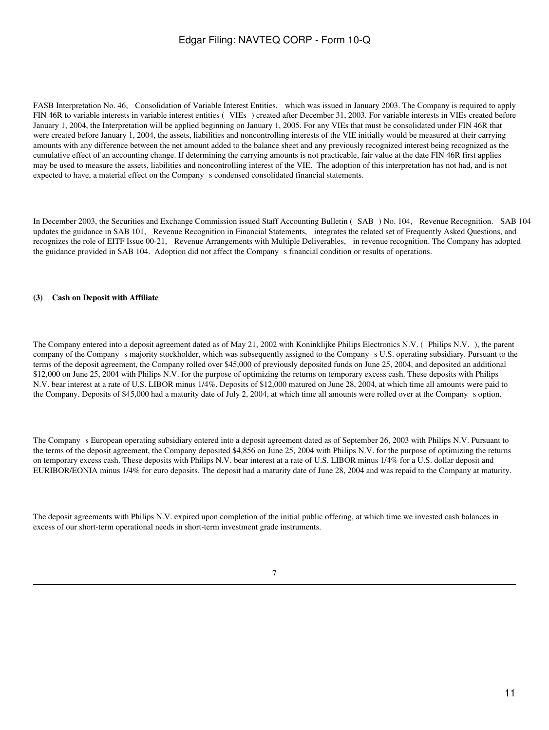FASB Interpretation No. 46, Consolidation of Variable Interest Entities, which was issued in January 2003. The Company is required to apply FIN 46R to variable interests in variable interest entities (VIEs) created after December 31, 2003. For variable interests in VIEs created before January 1, 2004, the Interpretation will be applied beginning on January 1, 2005. For any VIEs that must be consolidated under FIN 46R that were created before January 1, 2004, the assets, liabilities and noncontrolling interests of the VIE initially would be measured at their carrying amounts with any difference between the net amount added to the balance sheet and any previously recognized interest being recognized as the cumulative effect of an accounting change. If determining the carrying amounts is not practicable, fair value at the date FIN 46R first applies may be used to measure the assets, liabilities and noncontrolling interest of the VIE. The adoption of this interpretation has not had, and is not expected to have, a material effect on the Company s condensed consolidated financial statements.

In December 2003, the Securities and Exchange Commission issued Staff Accounting Bulletin (SAB) No. 104, Revenue Recognition. SAB 104 updates the guidance in SAB 101, Revenue Recognition in Financial Statements, integrates the related set of Frequently Asked Questions, and recognizes the role of EITF Issue 00-21, Revenue Arrangements with Multiple Deliverables, in revenue recognition. The Company has adopted the guidance provided in SAB 104. Adoption did not affect the Company s financial condition or results of operations.

### **(3) Cash on Deposit with Affiliate**

The Company entered into a deposit agreement dated as of May 21, 2002 with Koninklijke Philips Electronics N.V. (Philips N.V.), the parent company of the Company s majority stockholder, which was subsequently assigned to the Company s U.S. operating subsidiary. Pursuant to the terms of the deposit agreement, the Company rolled over \$45,000 of previously deposited funds on June 25, 2004, and deposited an additional \$12,000 on June 25, 2004 with Philips N.V. for the purpose of optimizing the returns on temporary excess cash. These deposits with Philips N.V. bear interest at a rate of U.S. LIBOR minus 1/4%. Deposits of \$12,000 matured on June 28, 2004, at which time all amounts were paid to the Company. Deposits of \$45,000 had a maturity date of July 2, 2004, at which time all amounts were rolled over at the Companys option.

The Company s European operating subsidiary entered into a deposit agreement dated as of September 26, 2003 with Philips N.V. Pursuant to the terms of the deposit agreement, the Company deposited \$4,856 on June 25, 2004 with Philips N.V. for the purpose of optimizing the returns on temporary excess cash. These deposits with Philips N.V. bear interest at a rate of U.S. LIBOR minus 1/4% for a U.S. dollar deposit and EURIBOR/EONIA minus 1/4% for euro deposits. The deposit had a maturity date of June 28, 2004 and was repaid to the Company at maturity.

The deposit agreements with Philips N.V. expired upon completion of the initial public offering, at which time we invested cash balances in excess of our short-term operational needs in short-term investment grade instruments.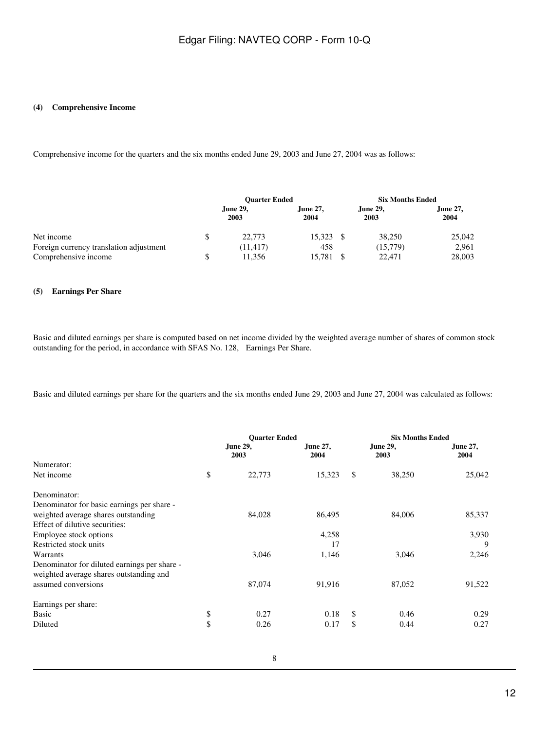### **(4) Comprehensive Income**

Comprehensive income for the quarters and the six months ended June 29, 2003 and June 27, 2004 was as follows:

|                                         | <b>Ouarter Ended</b> |                  | <b>Six Months Ended</b>              |        |  |
|-----------------------------------------|----------------------|------------------|--------------------------------------|--------|--|
|                                         | June 29,<br>2003     | June 27,<br>2004 | June 27,<br>June 29,<br>2004<br>2003 |        |  |
| Net income                              | 22,773               | 15.323           | 38,250                               | 25,042 |  |
| Foreign currency translation adjustment | (11.417)             | 458              | (15,779)                             | 2.961  |  |
| Comprehensive income                    | 11.356               | 15.781           | 22,471                               | 28,003 |  |

#### **(5) Earnings Per Share**

Basic and diluted earnings per share is computed based on net income divided by the weighted average number of shares of common stock outstanding for the period, in accordance with SFAS No. 128, Earnings Per Share.

Basic and diluted earnings per share for the quarters and the six months ended June 29, 2003 and June 27, 2004 was calculated as follows:

|                                                                                         | <b>Ouarter Ended</b> |                         |                  |              | <b>Six Months Ended</b> |                         |  |
|-----------------------------------------------------------------------------------------|----------------------|-------------------------|------------------|--------------|-------------------------|-------------------------|--|
|                                                                                         |                      | <b>June 29,</b><br>2003 | June 27,<br>2004 |              | <b>June 29,</b><br>2003 | <b>June 27,</b><br>2004 |  |
| Numerator:                                                                              |                      |                         |                  |              |                         |                         |  |
| Net income                                                                              | \$                   | 22,773                  | 15,323           | $\mathbb{S}$ | 38,250                  | 25,042                  |  |
| Denominator:                                                                            |                      |                         |                  |              |                         |                         |  |
| Denominator for basic earnings per share -                                              |                      |                         |                  |              |                         |                         |  |
| weighted average shares outstanding                                                     |                      | 84,028                  | 86,495           |              | 84,006                  | 85,337                  |  |
| Effect of dilutive securities:                                                          |                      |                         |                  |              |                         |                         |  |
| Employee stock options                                                                  |                      |                         | 4,258            |              |                         | 3,930                   |  |
| Restricted stock units                                                                  |                      |                         | 17               |              |                         | 9                       |  |
| Warrants                                                                                |                      | 3,046                   | 1,146            |              | 3,046                   | 2,246                   |  |
| Denominator for diluted earnings per share -<br>weighted average shares outstanding and |                      |                         |                  |              |                         |                         |  |
| assumed conversions                                                                     |                      | 87,074                  | 91,916           |              | 87,052                  | 91,522                  |  |
| Earnings per share:                                                                     |                      |                         |                  |              |                         |                         |  |
| Basic                                                                                   | \$                   | 0.27                    | 0.18             | \$           | 0.46                    | 0.29                    |  |
| Diluted                                                                                 | \$                   | 0.26                    | 0.17             | \$           | 0.44                    | 0.27                    |  |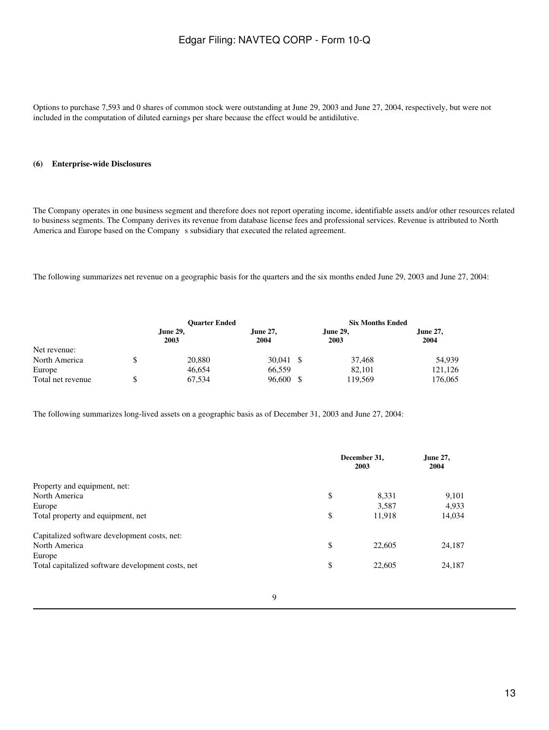Options to purchase 7,593 and 0 shares of common stock were outstanding at June 29, 2003 and June 27, 2004, respectively, but were not included in the computation of diluted earnings per share because the effect would be antidilutive.

### **(6) Enterprise-wide Disclosures**

The Company operates in one business segment and therefore does not report operating income, identifiable assets and/or other resources related to business segments. The Company derives its revenue from database license fees and professional services. Revenue is attributed to North America and Europe based on the Company s subsidiary that executed the related agreement.

The following summarizes net revenue on a geographic basis for the quarters and the six months ended June 29, 2003 and June 27, 2004:

|                   | <b>Ouarter Ended</b> |                  |  | <b>Six Months Ended</b> |                  |  |
|-------------------|----------------------|------------------|--|-------------------------|------------------|--|
|                   | June 29,<br>2003     | June 27,<br>2004 |  | June 29,<br>2003        | June 27,<br>2004 |  |
| Net revenue:      |                      |                  |  |                         |                  |  |
| North America     | 20,880               | 30.041 \$        |  | 37.468                  | 54.939           |  |
| Europe            | 46.654               | 66.559           |  | 82.101                  | 121,126          |  |
| Total net revenue | 67.534               | 96,600 \$        |  | 119.569                 | 176,065          |  |

The following summarizes long-lived assets on a geographic basis as of December 31, 2003 and June 27, 2004:

|                                                   | December 31,<br>2003 | June 27,<br>2004 |
|---------------------------------------------------|----------------------|------------------|
| Property and equipment, net:                      |                      |                  |
| North America                                     | \$<br>8,331          | 9,101            |
| Europe                                            | 3,587                | 4,933            |
| Total property and equipment, net                 | \$<br>11,918         | 14,034           |
| Capitalized software development costs, net:      |                      |                  |
| North America                                     | \$<br>22,605         | 24,187           |
| Europe                                            |                      |                  |
| Total capitalized software development costs, net | \$<br>22,605         | 24,187           |
|                                                   |                      |                  |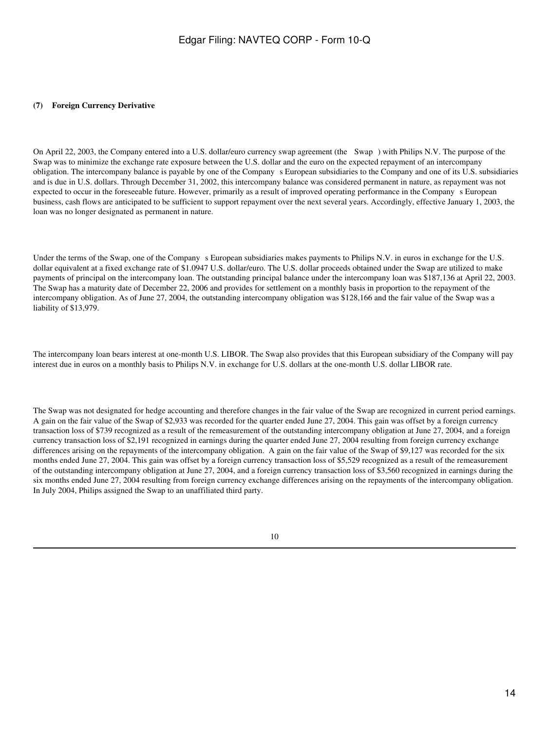#### **(7) Foreign Currency Derivative**

On April 22, 2003, the Company entered into a U.S. dollar/euro currency swap agreement (the Swap) with Philips N.V. The purpose of the Swap was to minimize the exchange rate exposure between the U.S. dollar and the euro on the expected repayment of an intercompany obligation. The intercompany balance is payable by one of the Companys European subsidiaries to the Company and one of its U.S. subsidiaries and is due in U.S. dollars. Through December 31, 2002, this intercompany balance was considered permanent in nature, as repayment was not expected to occur in the foreseeable future. However, primarily as a result of improved operating performance in the Company s European business, cash flows are anticipated to be sufficient to support repayment over the next several years. Accordingly, effective January 1, 2003, the loan was no longer designated as permanent in nature.

Under the terms of the Swap, one of the Company s European subsidiaries makes payments to Philips N.V. in euros in exchange for the U.S. dollar equivalent at a fixed exchange rate of \$1.0947 U.S. dollar/euro. The U.S. dollar proceeds obtained under the Swap are utilized to make payments of principal on the intercompany loan. The outstanding principal balance under the intercompany loan was \$187,136 at April 22, 2003. The Swap has a maturity date of December 22, 2006 and provides for settlement on a monthly basis in proportion to the repayment of the intercompany obligation. As of June 27, 2004, the outstanding intercompany obligation was \$128,166 and the fair value of the Swap was a liability of \$13,979.

The intercompany loan bears interest at one-month U.S. LIBOR. The Swap also provides that this European subsidiary of the Company will pay interest due in euros on a monthly basis to Philips N.V. in exchange for U.S. dollars at the one-month U.S. dollar LIBOR rate.

The Swap was not designated for hedge accounting and therefore changes in the fair value of the Swap are recognized in current period earnings. A gain on the fair value of the Swap of \$2,933 was recorded for the quarter ended June 27, 2004. This gain was offset by a foreign currency transaction loss of \$739 recognized as a result of the remeasurement of the outstanding intercompany obligation at June 27, 2004, and a foreign currency transaction loss of \$2,191 recognized in earnings during the quarter ended June 27, 2004 resulting from foreign currency exchange differences arising on the repayments of the intercompany obligation. A gain on the fair value of the Swap of \$9,127 was recorded for the six months ended June 27, 2004. This gain was offset by a foreign currency transaction loss of \$5,529 recognized as a result of the remeasurement of the outstanding intercompany obligation at June 27, 2004, and a foreign currency transaction loss of \$3,560 recognized in earnings during the six months ended June 27, 2004 resulting from foreign currency exchange differences arising on the repayments of the intercompany obligation. In July 2004, Philips assigned the Swap to an unaffiliated third party.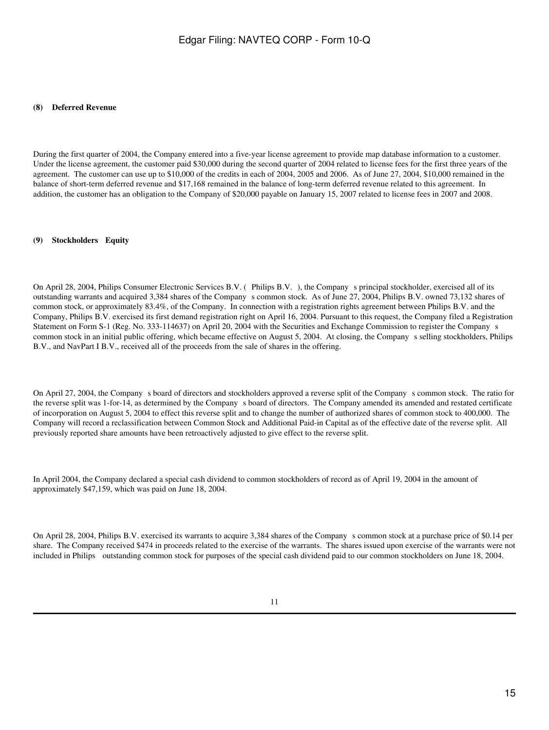#### **(8) Deferred Revenue**

During the first quarter of 2004, the Company entered into a five-year license agreement to provide map database information to a customer. Under the license agreement, the customer paid \$30,000 during the second quarter of 2004 related to license fees for the first three years of the agreement. The customer can use up to \$10,000 of the credits in each of 2004, 2005 and 2006. As of June 27, 2004, \$10,000 remained in the balance of short-term deferred revenue and \$17,168 remained in the balance of long-term deferred revenue related to this agreement. In addition, the customer has an obligation to the Company of \$20,000 payable on January 15, 2007 related to license fees in 2007 and 2008.

#### **(9) Stockholders Equity**

On April 28, 2004, Philips Consumer Electronic Services B.V. (Philips B.V.), the Companys principal stockholder, exercised all of its outstanding warrants and acquired 3,384 shares of the Companys common stock. As of June 27, 2004, Philips B.V. owned 73,132 shares of common stock, or approximately 83.4%, of the Company. In connection with a registration rights agreement between Philips B.V. and the Company, Philips B.V. exercised its first demand registration right on April 16, 2004. Pursuant to this request, the Company filed a Registration Statement on Form S-1 (Reg. No. 333-114637) on April 20, 2004 with the Securities and Exchange Commission to register the Companys common stock in an initial public offering, which became effective on August 5, 2004. At closing, the Company s selling stockholders, Philips B.V., and NavPart I B.V., received all of the proceeds from the sale of shares in the offering.

On April 27, 2004, the Company s board of directors and stockholders approved a reverse split of the Company s common stock. The ratio for the reverse split was 1-for-14, as determined by the Companys board of directors. The Company amended its amended and restated certificate of incorporation on August 5, 2004 to effect this reverse split and to change the number of authorized shares of common stock to 400,000. The Company will record a reclassification between Common Stock and Additional Paid-in Capital as of the effective date of the reverse split. All previously reported share amounts have been retroactively adjusted to give effect to the reverse split.

In April 2004, the Company declared a special cash dividend to common stockholders of record as of April 19, 2004 in the amount of approximately \$47,159, which was paid on June 18, 2004.

On April 28, 2004, Philips B.V. exercised its warrants to acquire 3,384 shares of the Companys common stock at a purchase price of \$0.14 per share. The Company received \$474 in proceeds related to the exercise of the warrants. The shares issued upon exercise of the warrants were not included in Philips outstanding common stock for purposes of the special cash dividend paid to our common stockholders on June 18, 2004.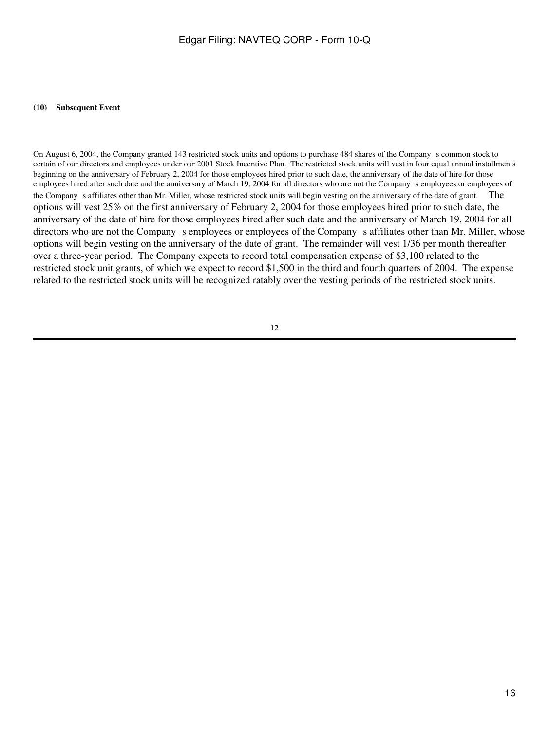#### **(10) Subsequent Event**

On August 6, 2004, the Company granted 143 restricted stock units and options to purchase 484 shares of the Company s common stock to certain of our directors and employees under our 2001 Stock Incentive Plan. The restricted stock units will vest in four equal annual installments beginning on the anniversary of February 2, 2004 for those employees hired prior to such date, the anniversary of the date of hire for those employees hired after such date and the anniversary of March 19, 2004 for all directors who are not the Company s employees or employees of the Companys affiliates other than Mr. Miller, whose restricted stock units will begin vesting on the anniversary of the date of grant. The options will vest 25% on the first anniversary of February 2, 2004 for those employees hired prior to such date, the anniversary of the date of hire for those employees hired after such date and the anniversary of March 19, 2004 for all directors who are not the Company s employees or employees of the Company s affiliates other than Mr. Miller, whose options will begin vesting on the anniversary of the date of grant. The remainder will vest 1/36 per month thereafter over a three-year period. The Company expects to record total compensation expense of \$3,100 related to the restricted stock unit grants, of which we expect to record \$1,500 in the third and fourth quarters of 2004. The expense related to the restricted stock units will be recognized ratably over the vesting periods of the restricted stock units.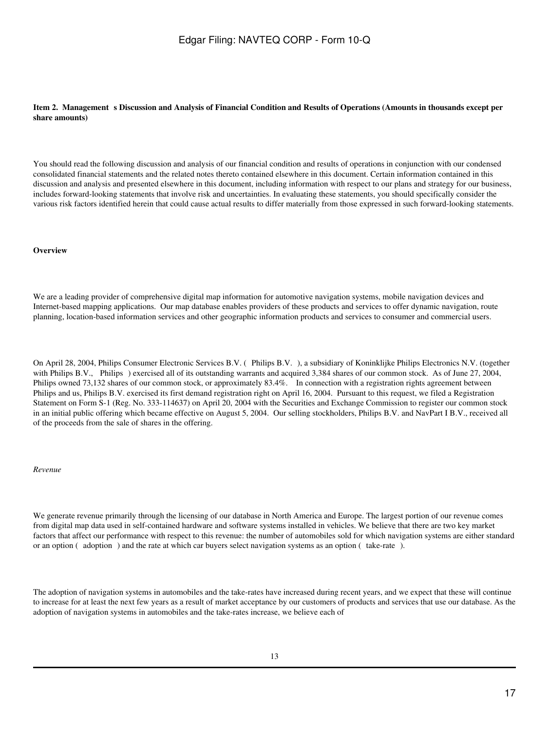### Item 2. Management s Discussion and Analysis of Financial Condition and Results of Operations (Amounts in thousands except per **share amounts)**

You should read the following discussion and analysis of our financial condition and results of operations in conjunction with our condensed consolidated financial statements and the related notes thereto contained elsewhere in this document. Certain information contained in this discussion and analysis and presented elsewhere in this document, including information with respect to our plans and strategy for our business, includes forward-looking statements that involve risk and uncertainties. In evaluating these statements, you should specifically consider the various risk factors identified herein that could cause actual results to differ materially from those expressed in such forward-looking statements.

#### **Overview**

We are a leading provider of comprehensive digital map information for automotive navigation systems, mobile navigation devices and Internet-based mapping applications. Our map database enables providers of these products and services to offer dynamic navigation, route planning, location-based information services and other geographic information products and services to consumer and commercial users.

On April 28, 2004, Philips Consumer Electronic Services B.V. (Philips B.V.), a subsidiary of Koninklijke Philips Electronics N.V. (together with Philips B.V., Philips) exercised all of its outstanding warrants and acquired 3,384 shares of our common stock. As of June 27, 2004, Philips owned 73,132 shares of our common stock, or approximately 83.4%. In connection with a registration rights agreement between Philips and us, Philips B.V. exercised its first demand registration right on April 16, 2004. Pursuant to this request, we filed a Registration Statement on Form S-1 (Reg. No. 333-114637) on April 20, 2004 with the Securities and Exchange Commission to register our common stock in an initial public offering which became effective on August 5, 2004. Our selling stockholders, Philips B.V. and NavPart I B.V., received all of the proceeds from the sale of shares in the offering.

### *Revenue*

We generate revenue primarily through the licensing of our database in North America and Europe. The largest portion of our revenue comes from digital map data used in self-contained hardware and software systems installed in vehicles. We believe that there are two key market factors that affect our performance with respect to this revenue: the number of automobiles sold for which navigation systems are either standard or an option (adoption) and the rate at which car buyers select navigation systems as an option (take-rate).

The adoption of navigation systems in automobiles and the take-rates have increased during recent years, and we expect that these will continue to increase for at least the next few years as a result of market acceptance by our customers of products and services that use our database. As the adoption of navigation systems in automobiles and the take-rates increase, we believe each of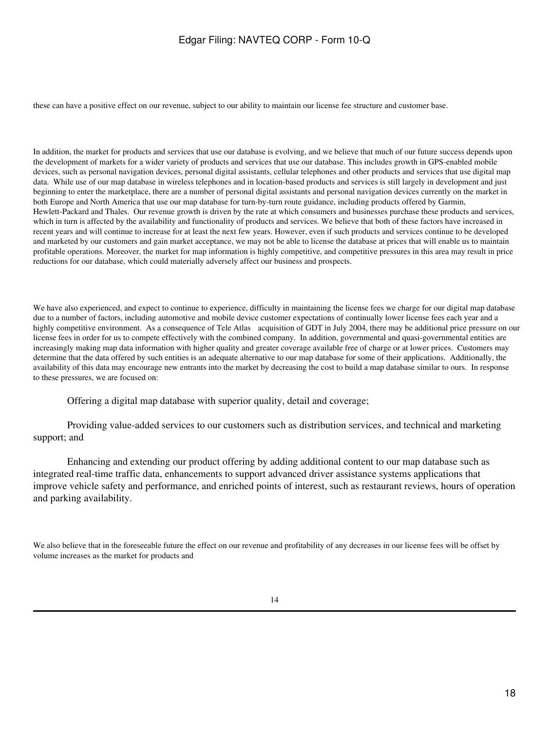these can have a positive effect on our revenue, subject to our ability to maintain our license fee structure and customer base.

In addition, the market for products and services that use our database is evolving, and we believe that much of our future success depends upon the development of markets for a wider variety of products and services that use our database. This includes growth in GPS-enabled mobile devices, such as personal navigation devices, personal digital assistants, cellular telephones and other products and services that use digital map data. While use of our map database in wireless telephones and in location-based products and services is still largely in development and just beginning to enter the marketplace, there are a number of personal digital assistants and personal navigation devices currently on the market in both Europe and North America that use our map database for turn-by-turn route guidance, including products offered by Garmin, Hewlett-Packard and Thales. Our revenue growth is driven by the rate at which consumers and businesses purchase these products and services, which in turn is affected by the availability and functionality of products and services. We believe that both of these factors have increased in recent years and will continue to increase for at least the next few years. However, even if such products and services continue to be developed and marketed by our customers and gain market acceptance, we may not be able to license the database at prices that will enable us to maintain profitable operations. Moreover, the market for map information is highly competitive, and competitive pressures in this area may result in price reductions for our database, which could materially adversely affect our business and prospects.

We have also experienced, and expect to continue to experience, difficulty in maintaining the license fees we charge for our digital map database due to a number of factors, including automotive and mobile device customer expectations of continually lower license fees each year and a highly competitive environment. As a consequence of Tele Atlas acquisition of GDT in July 2004, there may be additional price pressure on our license fees in order for us to compete effectively with the combined company. In addition, governmental and quasi-governmental entities are increasingly making map data information with higher quality and greater coverage available free of charge or at lower prices. Customers may determine that the data offered by such entities is an adequate alternative to our map database for some of their applications. Additionally, the availability of this data may encourage new entrants into the market by decreasing the cost to build a map database similar to ours. In response to these pressures, we are focused on:

Offering a digital map database with superior quality, detail and coverage;

 Providing value-added services to our customers such as distribution services, and technical and marketing support; and

 Enhancing and extending our product offering by adding additional content to our map database such as integrated real-time traffic data, enhancements to support advanced driver assistance systems applications that improve vehicle safety and performance, and enriched points of interest, such as restaurant reviews, hours of operation and parking availability.

We also believe that in the foreseeable future the effect on our revenue and profitability of any decreases in our license fees will be offset by volume increases as the market for products and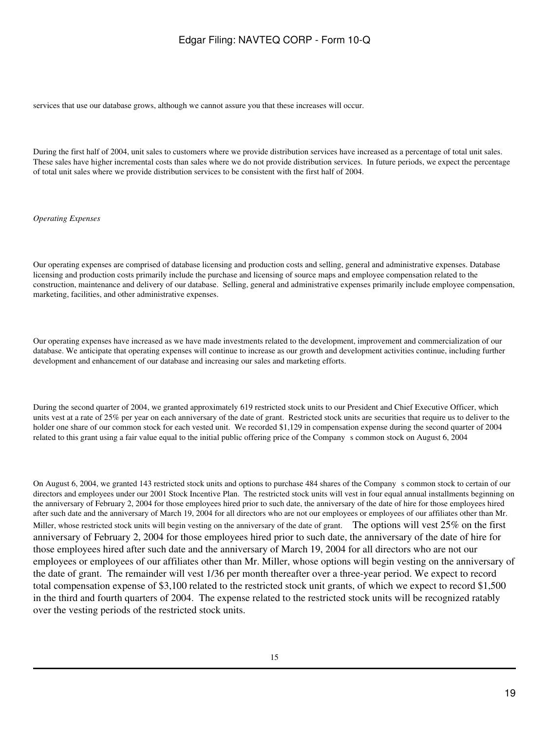services that use our database grows, although we cannot assure you that these increases will occur.

During the first half of 2004, unit sales to customers where we provide distribution services have increased as a percentage of total unit sales. These sales have higher incremental costs than sales where we do not provide distribution services. In future periods, we expect the percentage of total unit sales where we provide distribution services to be consistent with the first half of 2004.

#### *Operating Expenses*

Our operating expenses are comprised of database licensing and production costs and selling, general and administrative expenses. Database licensing and production costs primarily include the purchase and licensing of source maps and employee compensation related to the construction, maintenance and delivery of our database. Selling, general and administrative expenses primarily include employee compensation, marketing, facilities, and other administrative expenses.

Our operating expenses have increased as we have made investments related to the development, improvement and commercialization of our database. We anticipate that operating expenses will continue to increase as our growth and development activities continue, including further development and enhancement of our database and increasing our sales and marketing efforts.

During the second quarter of 2004, we granted approximately 619 restricted stock units to our President and Chief Executive Officer, which units vest at a rate of 25% per year on each anniversary of the date of grant. Restricted stock units are securities that require us to deliver to the holder one share of our common stock for each vested unit. We recorded \$1,129 in compensation expense during the second quarter of 2004 related to this grant using a fair value equal to the initial public offering price of the Companys common stock on August 6, 2004

On August 6, 2004, we granted 143 restricted stock units and options to purchase 484 shares of the Companys common stock to certain of our directors and employees under our 2001 Stock Incentive Plan. The restricted stock units will vest in four equal annual installments beginning on the anniversary of February 2, 2004 for those employees hired prior to such date, the anniversary of the date of hire for those employees hired after such date and the anniversary of March 19, 2004 for all directors who are not our employees or employees of our affiliates other than Mr. Miller, whose restricted stock units will begin vesting on the anniversary of the date of grant. The options will vest 25% on the first anniversary of February 2, 2004 for those employees hired prior to such date, the anniversary of the date of hire for those employees hired after such date and the anniversary of March 19, 2004 for all directors who are not our employees or employees of our affiliates other than Mr. Miller, whose options will begin vesting on the anniversary of the date of grant. The remainder will vest 1/36 per month thereafter over a three-year period. We expect to record total compensation expense of \$3,100 related to the restricted stock unit grants, of which we expect to record \$1,500 in the third and fourth quarters of 2004. The expense related to the restricted stock units will be recognized ratably over the vesting periods of the restricted stock units.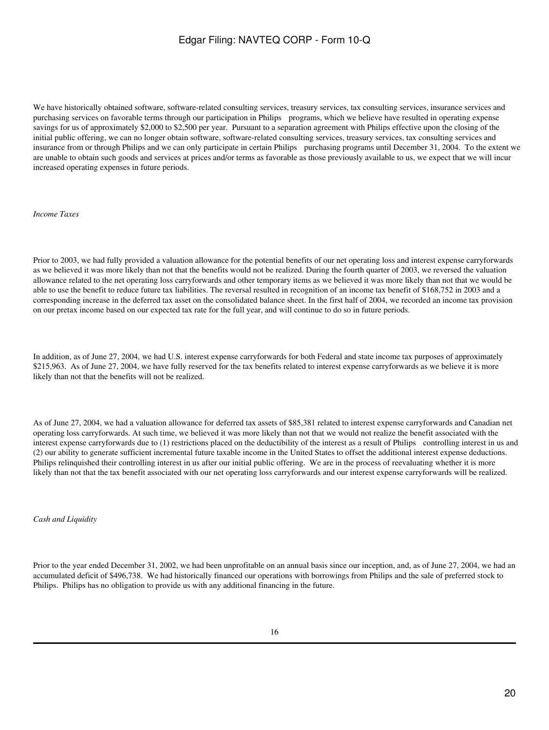We have historically obtained software, software-related consulting services, treasury services, tax consulting services, insurance services and purchasing services on favorable terms through our participation in Philips programs, which we believe have resulted in operating expense savings for us of approximately \$2,000 to \$2,500 per year. Pursuant to a separation agreement with Philips effective upon the closing of the initial public offering, we can no longer obtain software, software-related consulting services, treasury services, tax consulting services and insurance from or through Philips and we can only participate in certain Philips purchasing programs until December 31, 2004. To the extent we are unable to obtain such goods and services at prices and/or terms as favorable as those previously available to us, we expect that we will incur increased operating expenses in future periods.

#### *Income Taxes*

Prior to 2003, we had fully provided a valuation allowance for the potential benefits of our net operating loss and interest expense carryforwards as we believed it was more likely than not that the benefits would not be realized. During the fourth quarter of 2003, we reversed the valuation allowance related to the net operating loss carryforwards and other temporary items as we believed it was more likely than not that we would be able to use the benefit to reduce future tax liabilities. The reversal resulted in recognition of an income tax benefit of \$168,752 in 2003 and a corresponding increase in the deferred tax asset on the consolidated balance sheet. In the first half of 2004, we recorded an income tax provision on our pretax income based on our expected tax rate for the full year, and will continue to do so in future periods.

In addition, as of June 27, 2004, we had U.S. interest expense carryforwards for both Federal and state income tax purposes of approximately \$215,963. As of June 27, 2004, we have fully reserved for the tax benefits related to interest expense carryforwards as we believe it is more likely than not that the benefits will not be realized.

As of June 27, 2004, we had a valuation allowance for deferred tax assets of \$85,381 related to interest expense carryforwards and Canadian net operating loss carryforwards. At such time, we believed it was more likely than not that we would not realize the benefit associated with the interest expense carryforwards due to (1) restrictions placed on the deductibility of the interest as a result of Philips controlling interest in us and (2) our ability to generate sufficient incremental future taxable income in the United States to offset the additional interest expense deductions. Philips relinquished their controlling interest in us after our initial public offering. We are in the process of reevaluating whether it is more likely than not that the tax benefit associated with our net operating loss carryforwards and our interest expense carryforwards will be realized.

*Cash and Liquidity*

Prior to the year ended December 31, 2002, we had been unprofitable on an annual basis since our inception, and, as of June 27, 2004, we had an accumulated deficit of \$496,738. We had historically financed our operations with borrowings from Philips and the sale of preferred stock to Philips. Philips has no obligation to provide us with any additional financing in the future.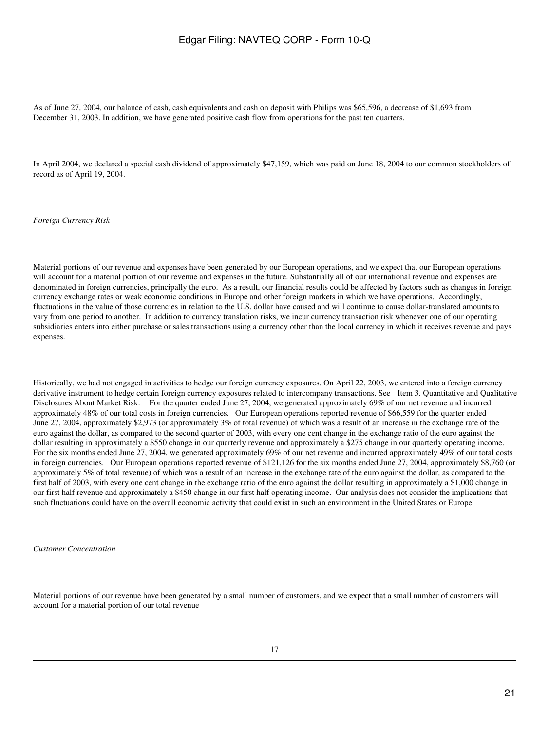As of June 27, 2004, our balance of cash, cash equivalents and cash on deposit with Philips was \$65,596, a decrease of \$1,693 from December 31, 2003. In addition, we have generated positive cash flow from operations for the past ten quarters.

In April 2004, we declared a special cash dividend of approximately \$47,159, which was paid on June 18, 2004 to our common stockholders of record as of April 19, 2004.

*Foreign Currency Risk*

Material portions of our revenue and expenses have been generated by our European operations, and we expect that our European operations will account for a material portion of our revenue and expenses in the future. Substantially all of our international revenue and expenses are denominated in foreign currencies, principally the euro. As a result, our financial results could be affected by factors such as changes in foreign currency exchange rates or weak economic conditions in Europe and other foreign markets in which we have operations. Accordingly, fluctuations in the value of those currencies in relation to the U.S. dollar have caused and will continue to cause dollar-translated amounts to vary from one period to another. In addition to currency translation risks, we incur currency transaction risk whenever one of our operating subsidiaries enters into either purchase or sales transactions using a currency other than the local currency in which it receives revenue and pays expenses.

Historically, we had not engaged in activities to hedge our foreign currency exposures. On April 22, 2003, we entered into a foreign currency derivative instrument to hedge certain foreign currency exposures related to intercompany transactions. See Item 3. Quantitative and Qualitative Disclosures About Market Risk. For the quarter ended June 27, 2004, we generated approximately 69% of our net revenue and incurred approximately 48% of our total costs in foreign currencies. Our European operations reported revenue of \$66,559 for the quarter ended June 27, 2004, approximately \$2,973 (or approximately 3% of total revenue) of which was a result of an increase in the exchange rate of the euro against the dollar, as compared to the second quarter of 2003, with every one cent change in the exchange ratio of the euro against the dollar resulting in approximately a \$550 change in our quarterly revenue and approximately a \$275 change in our quarterly operating income. For the six months ended June 27, 2004, we generated approximately 69% of our net revenue and incurred approximately 49% of our total costs in foreign currencies. Our European operations reported revenue of \$121,126 for the six months ended June 27, 2004, approximately \$8,760 (or approximately 5% of total revenue) of which was a result of an increase in the exchange rate of the euro against the dollar, as compared to the first half of 2003, with every one cent change in the exchange ratio of the euro against the dollar resulting in approximately a \$1,000 change in our first half revenue and approximately a \$450 change in our first half operating income. Our analysis does not consider the implications that such fluctuations could have on the overall economic activity that could exist in such an environment in the United States or Europe.

*Customer Concentration*

Material portions of our revenue have been generated by a small number of customers, and we expect that a small number of customers will account for a material portion of our total revenue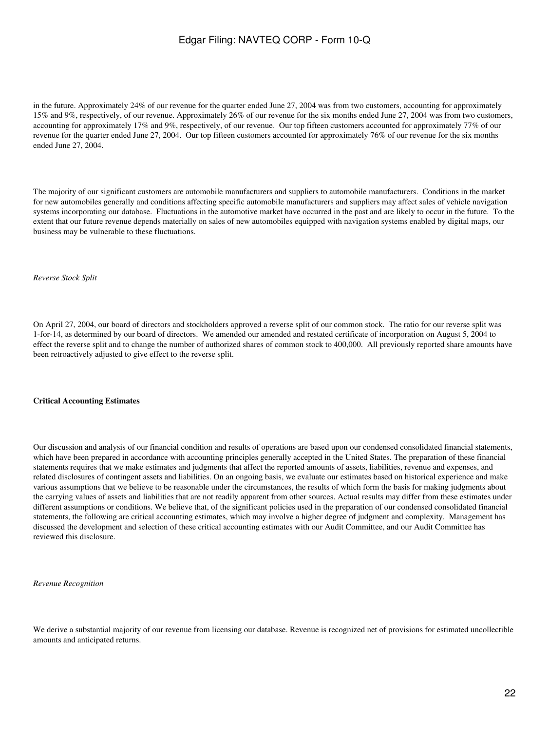in the future. Approximately 24% of our revenue for the quarter ended June 27, 2004 was from two customers, accounting for approximately 15% and 9%, respectively, of our revenue. Approximately 26% of our revenue for the six months ended June 27, 2004 was from two customers, accounting for approximately 17% and 9%, respectively, of our revenue. Our top fifteen customers accounted for approximately 77% of our revenue for the quarter ended June 27, 2004. Our top fifteen customers accounted for approximately 76% of our revenue for the six months ended June 27, 2004.

The majority of our significant customers are automobile manufacturers and suppliers to automobile manufacturers. Conditions in the market for new automobiles generally and conditions affecting specific automobile manufacturers and suppliers may affect sales of vehicle navigation systems incorporating our database. Fluctuations in the automotive market have occurred in the past and are likely to occur in the future. To the extent that our future revenue depends materially on sales of new automobiles equipped with navigation systems enabled by digital maps, our business may be vulnerable to these fluctuations.

#### *Reverse Stock Split*

On April 27, 2004, our board of directors and stockholders approved a reverse split of our common stock. The ratio for our reverse split was 1-for-14, as determined by our board of directors. We amended our amended and restated certificate of incorporation on August 5, 2004 to effect the reverse split and to change the number of authorized shares of common stock to 400,000. All previously reported share amounts have been retroactively adjusted to give effect to the reverse split.

#### **Critical Accounting Estimates**

Our discussion and analysis of our financial condition and results of operations are based upon our condensed consolidated financial statements, which have been prepared in accordance with accounting principles generally accepted in the United States. The preparation of these financial statements requires that we make estimates and judgments that affect the reported amounts of assets, liabilities, revenue and expenses, and related disclosures of contingent assets and liabilities. On an ongoing basis, we evaluate our estimates based on historical experience and make various assumptions that we believe to be reasonable under the circumstances, the results of which form the basis for making judgments about the carrying values of assets and liabilities that are not readily apparent from other sources. Actual results may differ from these estimates under different assumptions or conditions. We believe that, of the significant policies used in the preparation of our condensed consolidated financial statements, the following are critical accounting estimates, which may involve a higher degree of judgment and complexity. Management has discussed the development and selection of these critical accounting estimates with our Audit Committee, and our Audit Committee has reviewed this disclosure.

#### *Revenue Recognition*

We derive a substantial majority of our revenue from licensing our database. Revenue is recognized net of provisions for estimated uncollectible amounts and anticipated returns.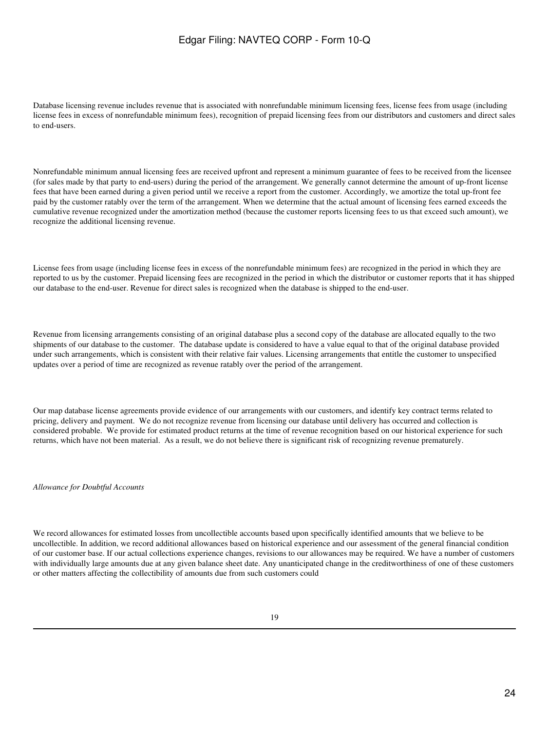Database licensing revenue includes revenue that is associated with nonrefundable minimum licensing fees, license fees from usage (including license fees in excess of nonrefundable minimum fees), recognition of prepaid licensing fees from our distributors and customers and direct sales to end-users.

Nonrefundable minimum annual licensing fees are received upfront and represent a minimum guarantee of fees to be received from the licensee (for sales made by that party to end-users) during the period of the arrangement. We generally cannot determine the amount of up-front license fees that have been earned during a given period until we receive a report from the customer. Accordingly, we amortize the total up-front fee paid by the customer ratably over the term of the arrangement. When we determine that the actual amount of licensing fees earned exceeds the cumulative revenue recognized under the amortization method (because the customer reports licensing fees to us that exceed such amount), we recognize the additional licensing revenue.

License fees from usage (including license fees in excess of the nonrefundable minimum fees) are recognized in the period in which they are reported to us by the customer. Prepaid licensing fees are recognized in the period in which the distributor or customer reports that it has shipped our database to the end-user. Revenue for direct sales is recognized when the database is shipped to the end-user.

Revenue from licensing arrangements consisting of an original database plus a second copy of the database are allocated equally to the two shipments of our database to the customer. The database update is considered to have a value equal to that of the original database provided under such arrangements, which is consistent with their relative fair values. Licensing arrangements that entitle the customer to unspecified updates over a period of time are recognized as revenue ratably over the period of the arrangement.

Our map database license agreements provide evidence of our arrangements with our customers, and identify key contract terms related to pricing, delivery and payment. We do not recognize revenue from licensing our database until delivery has occurred and collection is considered probable. We provide for estimated product returns at the time of revenue recognition based on our historical experience for such returns, which have not been material. As a result, we do not believe there is significant risk of recognizing revenue prematurely.

*Allowance for Doubtful Accounts*

We record allowances for estimated losses from uncollectible accounts based upon specifically identified amounts that we believe to be uncollectible. In addition, we record additional allowances based on historical experience and our assessment of the general financial condition of our customer base. If our actual collections experience changes, revisions to our allowances may be required. We have a number of customers with individually large amounts due at any given balance sheet date. Any unanticipated change in the creditworthiness of one of these customers or other matters affecting the collectibility of amounts due from such customers could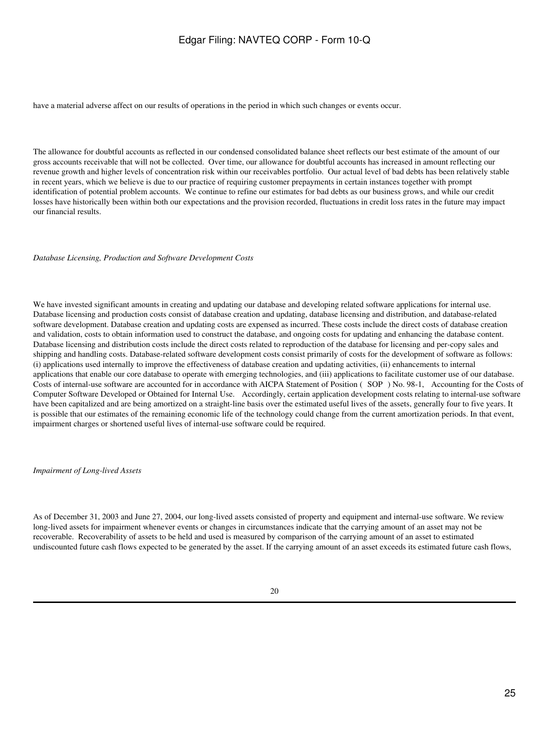have a material adverse affect on our results of operations in the period in which such changes or events occur.

The allowance for doubtful accounts as reflected in our condensed consolidated balance sheet reflects our best estimate of the amount of our gross accounts receivable that will not be collected. Over time, our allowance for doubtful accounts has increased in amount reflecting our revenue growth and higher levels of concentration risk within our receivables portfolio. Our actual level of bad debts has been relatively stable in recent years, which we believe is due to our practice of requiring customer prepayments in certain instances together with prompt identification of potential problem accounts. We continue to refine our estimates for bad debts as our business grows, and while our credit losses have historically been within both our expectations and the provision recorded, fluctuations in credit loss rates in the future may impact our financial results.

#### *Database Licensing, Production and Software Development Costs*

We have invested significant amounts in creating and updating our database and developing related software applications for internal use. Database licensing and production costs consist of database creation and updating, database licensing and distribution, and database-related software development. Database creation and updating costs are expensed as incurred. These costs include the direct costs of database creation and validation, costs to obtain information used to construct the database, and ongoing costs for updating and enhancing the database content. Database licensing and distribution costs include the direct costs related to reproduction of the database for licensing and per-copy sales and shipping and handling costs. Database-related software development costs consist primarily of costs for the development of software as follows: (i) applications used internally to improve the effectiveness of database creation and updating activities, (ii) enhancements to internal applications that enable our core database to operate with emerging technologies, and (iii) applications to facilitate customer use of our database. Costs of internal-use software are accounted for in accordance with AICPA Statement of Position (SOP) No. 98-1, Accounting for the Costs of Computer Software Developed or Obtained for Internal Use. Accordingly, certain application development costs relating to internal-use software have been capitalized and are being amortized on a straight-line basis over the estimated useful lives of the assets, generally four to five years. It is possible that our estimates of the remaining economic life of the technology could change from the current amortization periods. In that event, impairment charges or shortened useful lives of internal-use software could be required.

#### *Impairment of Long-lived Assets*

As of December 31, 2003 and June 27, 2004, our long-lived assets consisted of property and equipment and internal-use software. We review long-lived assets for impairment whenever events or changes in circumstances indicate that the carrying amount of an asset may not be recoverable. Recoverability of assets to be held and used is measured by comparison of the carrying amount of an asset to estimated undiscounted future cash flows expected to be generated by the asset. If the carrying amount of an asset exceeds its estimated future cash flows,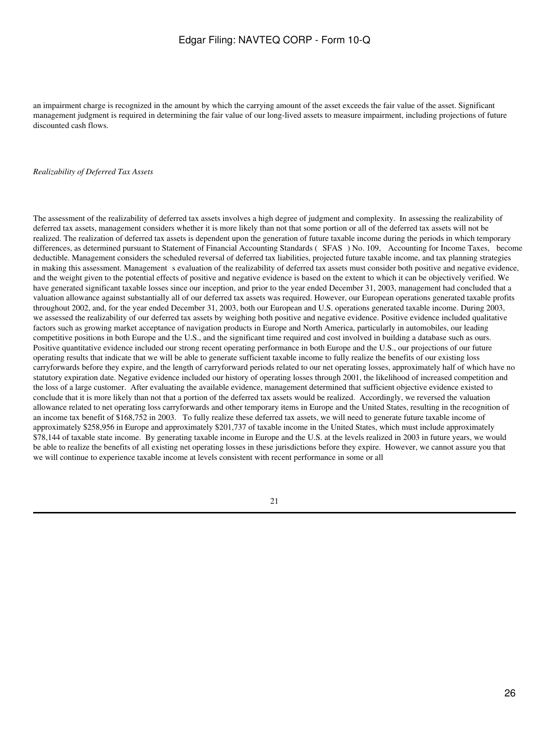an impairment charge is recognized in the amount by which the carrying amount of the asset exceeds the fair value of the asset. Significant management judgment is required in determining the fair value of our long-lived assets to measure impairment, including projections of future discounted cash flows.

#### *Realizability of Deferred Tax Assets*

The assessment of the realizability of deferred tax assets involves a high degree of judgment and complexity. In assessing the realizability of deferred tax assets, management considers whether it is more likely than not that some portion or all of the deferred tax assets will not be realized. The realization of deferred tax assets is dependent upon the generation of future taxable income during the periods in which temporary differences, as determined pursuant to Statement of Financial Accounting Standards (SFAS) No. 109, Accounting for Income Taxes, become deductible. Management considers the scheduled reversal of deferred tax liabilities, projected future taxable income, and tax planning strategies in making this assessment. Management s evaluation of the realizability of deferred tax assets must consider both positive and negative evidence, and the weight given to the potential effects of positive and negative evidence is based on the extent to which it can be objectively verified. We have generated significant taxable losses since our inception, and prior to the year ended December 31, 2003, management had concluded that a valuation allowance against substantially all of our deferred tax assets was required. However, our European operations generated taxable profits throughout 2002, and, for the year ended December 31, 2003, both our European and U.S. operations generated taxable income. During 2003, we assessed the realizability of our deferred tax assets by weighing both positive and negative evidence. Positive evidence included qualitative factors such as growing market acceptance of navigation products in Europe and North America, particularly in automobiles, our leading competitive positions in both Europe and the U.S., and the significant time required and cost involved in building a database such as ours. Positive quantitative evidence included our strong recent operating performance in both Europe and the U.S., our projections of our future operating results that indicate that we will be able to generate sufficient taxable income to fully realize the benefits of our existing loss carryforwards before they expire, and the length of carryforward periods related to our net operating losses, approximately half of which have no statutory expiration date. Negative evidence included our history of operating losses through 2001, the likelihood of increased competition and the loss of a large customer. After evaluating the available evidence, management determined that sufficient objective evidence existed to conclude that it is more likely than not that a portion of the deferred tax assets would be realized. Accordingly, we reversed the valuation allowance related to net operating loss carryforwards and other temporary items in Europe and the United States, resulting in the recognition of an income tax benefit of \$168,752 in 2003. To fully realize these deferred tax assets, we will need to generate future taxable income of approximately \$258,956 in Europe and approximately \$201,737 of taxable income in the United States, which must include approximately \$78,144 of taxable state income. By generating taxable income in Europe and the U.S. at the levels realized in 2003 in future years, we would be able to realize the benefits of all existing net operating losses in these jurisdictions before they expire. However, we cannot assure you that we will continue to experience taxable income at levels consistent with recent performance in some or all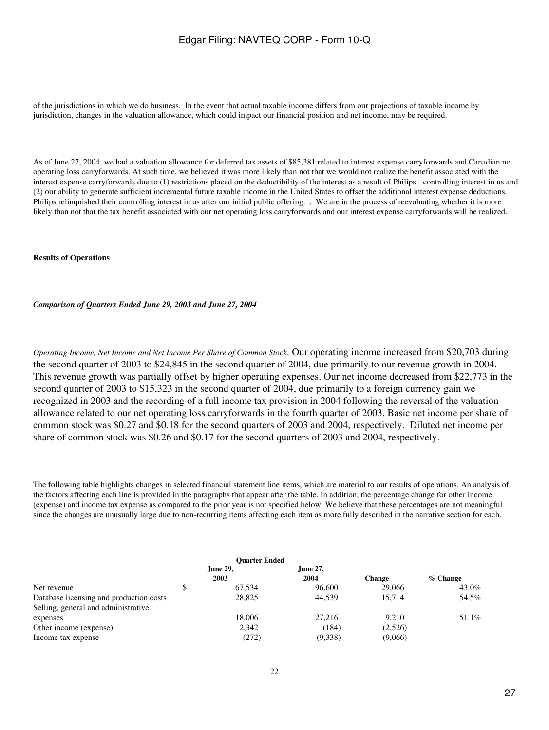of the jurisdictions in which we do business. In the event that actual taxable income differs from our projections of taxable income by jurisdiction, changes in the valuation allowance, which could impact our financial position and net income, may be required.

As of June 27, 2004, we had a valuation allowance for deferred tax assets of \$85,381 related to interest expense carryforwards and Canadian net operating loss carryforwards. At such time, we believed it was more likely than not that we would not realize the benefit associated with the interest expense carryforwards due to (1) restrictions placed on the deductibility of the interest as a result of Philips controlling interest in us and (2) our ability to generate sufficient incremental future taxable income in the United States to offset the additional interest expense deductions. Philips relinquished their controlling interest in us after our initial public offering. . We are in the process of reevaluating whether it is more likely than not that the tax benefit associated with our net operating loss carryforwards and our interest expense carryforwards will be realized.

#### **Results of Operations**

### *Comparison of Quarters Ended June 29, 2003 and June 27, 2004*

*Operating Income, Net Income and Net Income Per Share of Common Stock*. Our operating income increased from \$20,703 during the second quarter of 2003 to \$24,845 in the second quarter of 2004, due primarily to our revenue growth in 2004. This revenue growth was partially offset by higher operating expenses. Our net income decreased from \$22,773 in the second quarter of 2003 to \$15,323 in the second quarter of 2004, due primarily to a foreign currency gain we recognized in 2003 and the recording of a full income tax provision in 2004 following the reversal of the valuation allowance related to our net operating loss carryforwards in the fourth quarter of 2003. Basic net income per share of common stock was \$0.27 and \$0.18 for the second quarters of 2003 and 2004, respectively. Diluted net income per share of common stock was \$0.26 and \$0.17 for the second quarters of 2003 and 2004, respectively.

The following table highlights changes in selected financial statement line items, which are material to our results of operations. An analysis of the factors affecting each line is provided in the paragraphs that appear after the table. In addition, the percentage change for other income (expense) and income tax expense as compared to the prior year is not specified below. We believe that these percentages are not meaningful since the changes are unusually large due to non-recurring items affecting each item as more fully described in the narrative section for each.

|                                         | <b>Ouarter Ended</b> |                  |         |            |
|-----------------------------------------|----------------------|------------------|---------|------------|
|                                         | June 29,<br>2003     | June 27,<br>2004 | Change  | $%$ Change |
| Net revenue                             | 67.534               | 96,600           | 29,066  | 43.0%      |
| Database licensing and production costs | 28,825               | 44.539           | 15.714  | 54.5%      |
| Selling, general and administrative     |                      |                  |         |            |
| expenses                                | 18,006               | 27.216           | 9.210   | 51.1%      |
| Other income (expense)                  | 2,342                | (184)            | (2,526) |            |
| Income tax expense                      | (272)                | (9,338)          | (9,066) |            |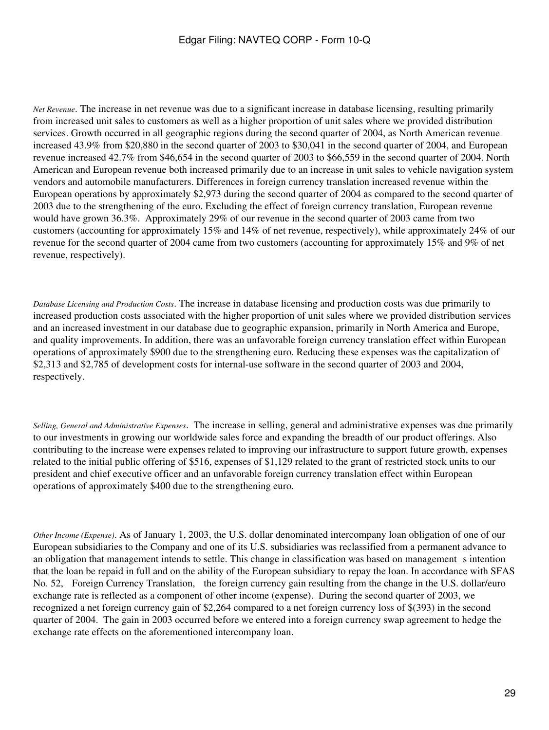*Net Revenue*. The increase in net revenue was due to a significant increase in database licensing, resulting primarily from increased unit sales to customers as well as a higher proportion of unit sales where we provided distribution services. Growth occurred in all geographic regions during the second quarter of 2004, as North American revenue increased 43.9% from \$20,880 in the second quarter of 2003 to \$30,041 in the second quarter of 2004, and European revenue increased 42.7% from \$46,654 in the second quarter of 2003 to \$66,559 in the second quarter of 2004. North American and European revenue both increased primarily due to an increase in unit sales to vehicle navigation system vendors and automobile manufacturers. Differences in foreign currency translation increased revenue within the European operations by approximately \$2,973 during the second quarter of 2004 as compared to the second quarter of 2003 due to the strengthening of the euro. Excluding the effect of foreign currency translation, European revenue would have grown 36.3%. Approximately 29% of our revenue in the second quarter of 2003 came from two customers (accounting for approximately 15% and 14% of net revenue, respectively), while approximately 24% of our revenue for the second quarter of 2004 came from two customers (accounting for approximately 15% and 9% of net revenue, respectively).

*Database Licensing and Production Costs*. The increase in database licensing and production costs was due primarily to increased production costs associated with the higher proportion of unit sales where we provided distribution services and an increased investment in our database due to geographic expansion, primarily in North America and Europe, and quality improvements. In addition, there was an unfavorable foreign currency translation effect within European operations of approximately \$900 due to the strengthening euro. Reducing these expenses was the capitalization of \$2,313 and \$2,785 of development costs for internal-use software in the second quarter of 2003 and 2004, respectively.

*Selling, General and Administrative Expenses*. The increase in selling, general and administrative expenses was due primarily to our investments in growing our worldwide sales force and expanding the breadth of our product offerings. Also contributing to the increase were expenses related to improving our infrastructure to support future growth, expenses related to the initial public offering of \$516, expenses of \$1,129 related to the grant of restricted stock units to our president and chief executive officer and an unfavorable foreign currency translation effect within European operations of approximately \$400 due to the strengthening euro.

*Other Income (Expense)*. As of January 1, 2003, the U.S. dollar denominated intercompany loan obligation of one of our European subsidiaries to the Company and one of its U.S. subsidiaries was reclassified from a permanent advance to an obligation that management intends to settle. This change in classification was based on management s intention that the loan be repaid in full and on the ability of the European subsidiary to repay the loan. In accordance with SFAS No. 52, Foreign Currency Translation, the foreign currency gain resulting from the change in the U.S. dollar/euro exchange rate is reflected as a component of other income (expense). During the second quarter of 2003, we recognized a net foreign currency gain of \$2,264 compared to a net foreign currency loss of \$(393) in the second quarter of 2004. The gain in 2003 occurred before we entered into a foreign currency swap agreement to hedge the exchange rate effects on the aforementioned intercompany loan.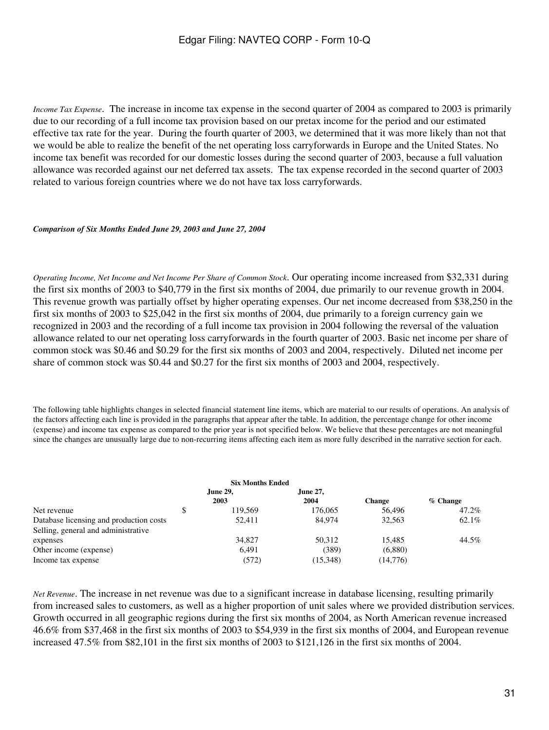*Income Tax Expense*. The increase in income tax expense in the second quarter of 2004 as compared to 2003 is primarily due to our recording of a full income tax provision based on our pretax income for the period and our estimated effective tax rate for the year. During the fourth quarter of 2003, we determined that it was more likely than not that we would be able to realize the benefit of the net operating loss carryforwards in Europe and the United States. No income tax benefit was recorded for our domestic losses during the second quarter of 2003, because a full valuation allowance was recorded against our net deferred tax assets. The tax expense recorded in the second quarter of 2003 related to various foreign countries where we do not have tax loss carryforwards.

### *Comparison of Six Months Ended June 29, 2003 and June 27, 2004*

*Operating Income, Net Income and Net Income Per Share of Common Stock*. Our operating income increased from \$32,331 during the first six months of 2003 to \$40,779 in the first six months of 2004, due primarily to our revenue growth in 2004. This revenue growth was partially offset by higher operating expenses. Our net income decreased from \$38,250 in the first six months of 2003 to \$25,042 in the first six months of 2004, due primarily to a foreign currency gain we recognized in 2003 and the recording of a full income tax provision in 2004 following the reversal of the valuation allowance related to our net operating loss carryforwards in the fourth quarter of 2003. Basic net income per share of common stock was \$0.46 and \$0.29 for the first six months of 2003 and 2004, respectively. Diluted net income per share of common stock was \$0.44 and \$0.27 for the first six months of 2003 and 2004, respectively.

The following table highlights changes in selected financial statement line items, which are material to our results of operations. An analysis of the factors affecting each line is provided in the paragraphs that appear after the table. In addition, the percentage change for other income (expense) and income tax expense as compared to the prior year is not specified below. We believe that these percentages are not meaningful since the changes are unusually large due to non-recurring items affecting each item as more fully described in the narrative section for each.

|                                         | <b>Six Months Ended</b> |                  |               |            |
|-----------------------------------------|-------------------------|------------------|---------------|------------|
|                                         | June 29,<br>2003        | June 27,<br>2004 | <b>Change</b> | $%$ Change |
| Net revenue                             | 119.569                 | 176,065          | 56,496        | 47.2%      |
| Database licensing and production costs | 52.411                  | 84,974           | 32,563        | 62.1%      |
| Selling, general and administrative     |                         |                  |               |            |
| expenses                                | 34,827                  | 50.312           | 15.485        | 44.5%      |
| Other income (expense)                  | 6.491                   | (389)            | (6,880)       |            |
| Income tax expense                      | (572)                   | (15,348)         | (14,776)      |            |

*Net Revenue*. The increase in net revenue was due to a significant increase in database licensing, resulting primarily from increased sales to customers, as well as a higher proportion of unit sales where we provided distribution services. Growth occurred in all geographic regions during the first six months of 2004, as North American revenue increased 46.6% from \$37,468 in the first six months of 2003 to \$54,939 in the first six months of 2004, and European revenue increased 47.5% from \$82,101 in the first six months of 2003 to \$121,126 in the first six months of 2004.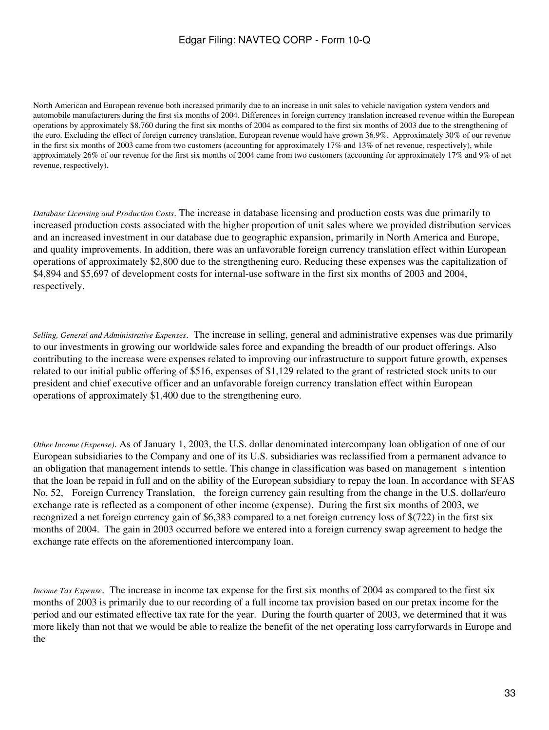North American and European revenue both increased primarily due to an increase in unit sales to vehicle navigation system vendors and automobile manufacturers during the first six months of 2004. Differences in foreign currency translation increased revenue within the European operations by approximately \$8,760 during the first six months of 2004 as compared to the first six months of 2003 due to the strengthening of the euro. Excluding the effect of foreign currency translation, European revenue would have grown 36.9%. Approximately 30% of our revenue in the first six months of 2003 came from two customers (accounting for approximately 17% and 13% of net revenue, respectively), while approximately 26% of our revenue for the first six months of 2004 came from two customers (accounting for approximately 17% and 9% of net revenue, respectively).

*Database Licensing and Production Costs*. The increase in database licensing and production costs was due primarily to increased production costs associated with the higher proportion of unit sales where we provided distribution services and an increased investment in our database due to geographic expansion, primarily in North America and Europe, and quality improvements. In addition, there was an unfavorable foreign currency translation effect within European operations of approximately \$2,800 due to the strengthening euro. Reducing these expenses was the capitalization of \$4,894 and \$5,697 of development costs for internal-use software in the first six months of 2003 and 2004, respectively.

*Selling, General and Administrative Expenses*. The increase in selling, general and administrative expenses was due primarily to our investments in growing our worldwide sales force and expanding the breadth of our product offerings. Also contributing to the increase were expenses related to improving our infrastructure to support future growth, expenses related to our initial public offering of \$516, expenses of \$1,129 related to the grant of restricted stock units to our president and chief executive officer and an unfavorable foreign currency translation effect within European operations of approximately \$1,400 due to the strengthening euro.

*Other Income (Expense)*. As of January 1, 2003, the U.S. dollar denominated intercompany loan obligation of one of our European subsidiaries to the Company and one of its U.S. subsidiaries was reclassified from a permanent advance to an obligation that management intends to settle. This change in classification was based on management s intention that the loan be repaid in full and on the ability of the European subsidiary to repay the loan. In accordance with SFAS No. 52, Foreign Currency Translation, the foreign currency gain resulting from the change in the U.S. dollar/euro exchange rate is reflected as a component of other income (expense). During the first six months of 2003, we recognized a net foreign currency gain of \$6,383 compared to a net foreign currency loss of \$(722) in the first six months of 2004. The gain in 2003 occurred before we entered into a foreign currency swap agreement to hedge the exchange rate effects on the aforementioned intercompany loan.

*Income Tax Expense*. The increase in income tax expense for the first six months of 2004 as compared to the first six months of 2003 is primarily due to our recording of a full income tax provision based on our pretax income for the period and our estimated effective tax rate for the year. During the fourth quarter of 2003, we determined that it was more likely than not that we would be able to realize the benefit of the net operating loss carryforwards in Europe and the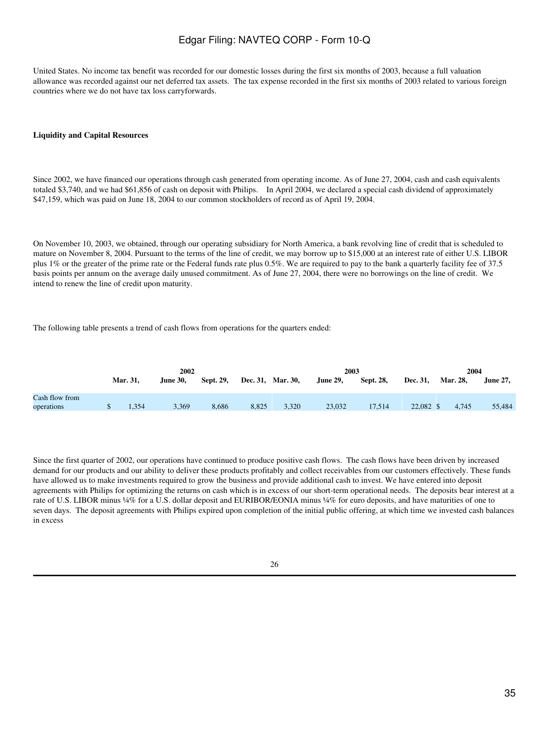United States. No income tax benefit was recorded for our domestic losses during the first six months of 2003, because a full valuation allowance was recorded against our net deferred tax assets. The tax expense recorded in the first six months of 2003 related to various foreign countries where we do not have tax loss carryforwards.

#### **Liquidity and Capital Resources**

Since 2002, we have financed our operations through cash generated from operating income. As of June 27, 2004, cash and cash equivalents totaled \$3,740, and we had \$61,856 of cash on deposit with Philips. In April 2004, we declared a special cash dividend of approximately \$47,159, which was paid on June 18, 2004 to our common stockholders of record as of April 19, 2004.

On November 10, 2003, we obtained, through our operating subsidiary for North America, a bank revolving line of credit that is scheduled to mature on November 8, 2004. Pursuant to the terms of the line of credit, we may borrow up to \$15,000 at an interest rate of either U.S. LIBOR plus 1% or the greater of the prime rate or the Federal funds rate plus 0.5%. We are required to pay to the bank a quarterly facility fee of 37.5 basis points per annum on the average daily unused commitment. As of June 27, 2004, there were no borrowings on the line of credit. We intend to renew the line of credit upon maturity.

The following table presents a trend of cash flows from operations for the quarters ended:

|                              | 2002 |          |          |           |       | 2004<br>2003      |                 |           |           |                 |          |
|------------------------------|------|----------|----------|-----------|-------|-------------------|-----------------|-----------|-----------|-----------------|----------|
|                              |      | Mar. 31. | June 30, | Sept. 29, |       | Dec. 31, Mar. 30, | <b>June 29,</b> | Sept. 28, | Dec. 31,  | <b>Mar. 28.</b> | June 27, |
| Cash flow from<br>operations |      | .354     | 3,369    | 8,686     | 8,825 | 3,320             | 23,032          | 17,514    | 22,082 \$ | 4.745           | 55,484   |

Since the first quarter of 2002, our operations have continued to produce positive cash flows. The cash flows have been driven by increased demand for our products and our ability to deliver these products profitably and collect receivables from our customers effectively. These funds have allowed us to make investments required to grow the business and provide additional cash to invest. We have entered into deposit agreements with Philips for optimizing the returns on cash which is in excess of our short-term operational needs. The deposits bear interest at a rate of U.S. LIBOR minus ¼% for a U.S. dollar deposit and EURIBOR/EONIA minus ¼% for euro deposits, and have maturities of one to seven days. The deposit agreements with Philips expired upon completion of the initial public offering, at which time we invested cash balances in excess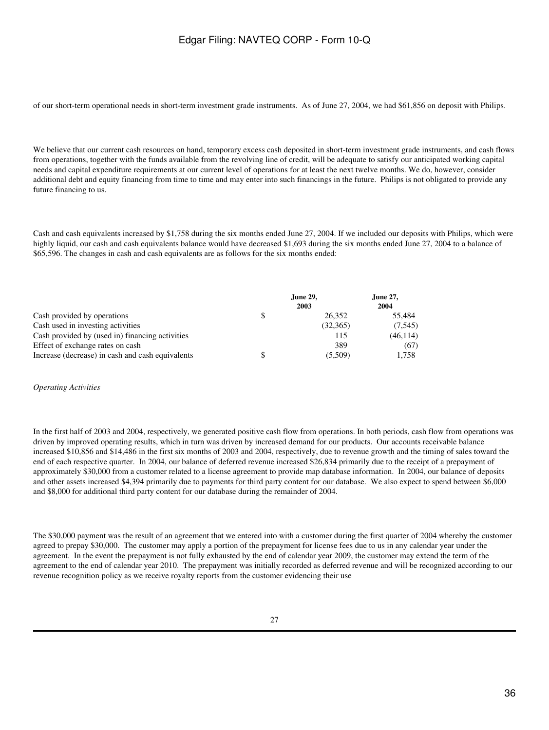of our short-term operational needs in short-term investment grade instruments. As of June 27, 2004, we had \$61,856 on deposit with Philips.

We believe that our current cash resources on hand, temporary excess cash deposited in short-term investment grade instruments, and cash flows from operations, together with the funds available from the revolving line of credit, will be adequate to satisfy our anticipated working capital needs and capital expenditure requirements at our current level of operations for at least the next twelve months. We do, however, consider additional debt and equity financing from time to time and may enter into such financings in the future. Philips is not obligated to provide any future financing to us.

Cash and cash equivalents increased by \$1,758 during the six months ended June 27, 2004. If we included our deposits with Philips, which were highly liquid, our cash and cash equivalents balance would have decreased \$1,693 during the six months ended June 27, 2004 to a balance of \$65,596. The changes in cash and cash equivalents are as follows for the six months ended:

|                                                  | June 29,<br>2003 | June 27,<br>2004 |
|--------------------------------------------------|------------------|------------------|
| Cash provided by operations                      | \$<br>26.352     | 55.484           |
| Cash used in investing activities                | (32,365)         | (7,545)          |
| Cash provided by (used in) financing activities  | 115              | (46, 114)        |
| Effect of exchange rates on cash                 | 389              | (67)             |
| Increase (decrease) in cash and cash equivalents | \$<br>(5,509)    | 1,758            |

#### *Operating Activities*

In the first half of 2003 and 2004, respectively, we generated positive cash flow from operations. In both periods, cash flow from operations was driven by improved operating results, which in turn was driven by increased demand for our products. Our accounts receivable balance increased \$10,856 and \$14,486 in the first six months of 2003 and 2004, respectively, due to revenue growth and the timing of sales toward the end of each respective quarter. In 2004, our balance of deferred revenue increased \$26,834 primarily due to the receipt of a prepayment of approximately \$30,000 from a customer related to a license agreement to provide map database information. In 2004, our balance of deposits and other assets increased \$4,394 primarily due to payments for third party content for our database. We also expect to spend between \$6,000 and \$8,000 for additional third party content for our database during the remainder of 2004.

The \$30,000 payment was the result of an agreement that we entered into with a customer during the first quarter of 2004 whereby the customer agreed to prepay \$30,000. The customer may apply a portion of the prepayment for license fees due to us in any calendar year under the agreement. In the event the prepayment is not fully exhausted by the end of calendar year 2009, the customer may extend the term of the agreement to the end of calendar year 2010. The prepayment was initially recorded as deferred revenue and will be recognized according to our revenue recognition policy as we receive royalty reports from the customer evidencing their use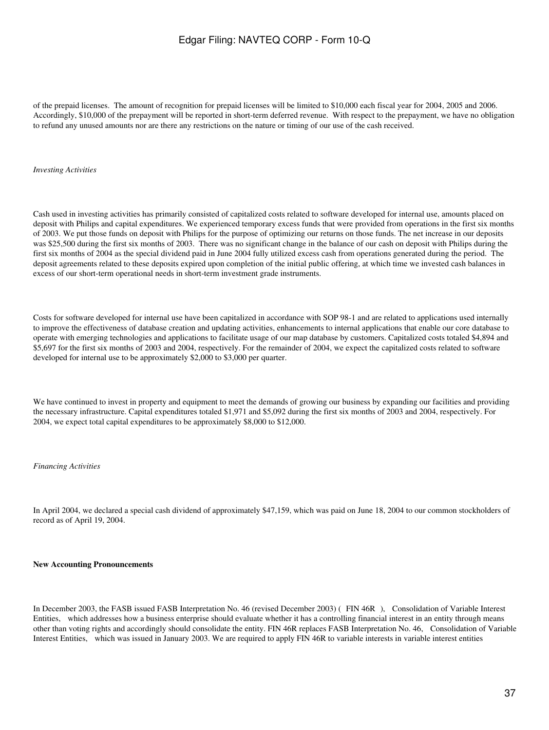of the prepaid licenses. The amount of recognition for prepaid licenses will be limited to \$10,000 each fiscal year for 2004, 2005 and 2006. Accordingly, \$10,000 of the prepayment will be reported in short-term deferred revenue. With respect to the prepayment, we have no obligation to refund any unused amounts nor are there any restrictions on the nature or timing of our use of the cash received.

#### *Investing Activities*

Cash used in investing activities has primarily consisted of capitalized costs related to software developed for internal use, amounts placed on deposit with Philips and capital expenditures. We experienced temporary excess funds that were provided from operations in the first six months of 2003. We put those funds on deposit with Philips for the purpose of optimizing our returns on those funds. The net increase in our deposits was \$25,500 during the first six months of 2003. There was no significant change in the balance of our cash on deposit with Philips during the first six months of 2004 as the special dividend paid in June 2004 fully utilized excess cash from operations generated during the period. The deposit agreements related to these deposits expired upon completion of the initial public offering, at which time we invested cash balances in excess of our short-term operational needs in short-term investment grade instruments.

Costs for software developed for internal use have been capitalized in accordance with SOP 98-1 and are related to applications used internally to improve the effectiveness of database creation and updating activities, enhancements to internal applications that enable our core database to operate with emerging technologies and applications to facilitate usage of our map database by customers. Capitalized costs totaled \$4,894 and \$5,697 for the first six months of 2003 and 2004, respectively. For the remainder of 2004, we expect the capitalized costs related to software developed for internal use to be approximately \$2,000 to \$3,000 per quarter.

We have continued to invest in property and equipment to meet the demands of growing our business by expanding our facilities and providing the necessary infrastructure. Capital expenditures totaled \$1,971 and \$5,092 during the first six months of 2003 and 2004, respectively. For 2004, we expect total capital expenditures to be approximately \$8,000 to \$12,000.

#### *Financing Activities*

In April 2004, we declared a special cash dividend of approximately \$47,159, which was paid on June 18, 2004 to our common stockholders of record as of April 19, 2004.

#### **New Accounting Pronouncements**

In December 2003, the FASB issued FASB Interpretation No. 46 (revised December 2003) (FIN 46R), Consolidation of Variable Interest Entities, which addresses how a business enterprise should evaluate whether it has a controlling financial interest in an entity through means other than voting rights and accordingly should consolidate the entity. FIN 46R replaces FASB Interpretation No. 46, Consolidation of Variable Interest Entities, which was issued in January 2003. We are required to apply FIN 46R to variable interests in variable interest entities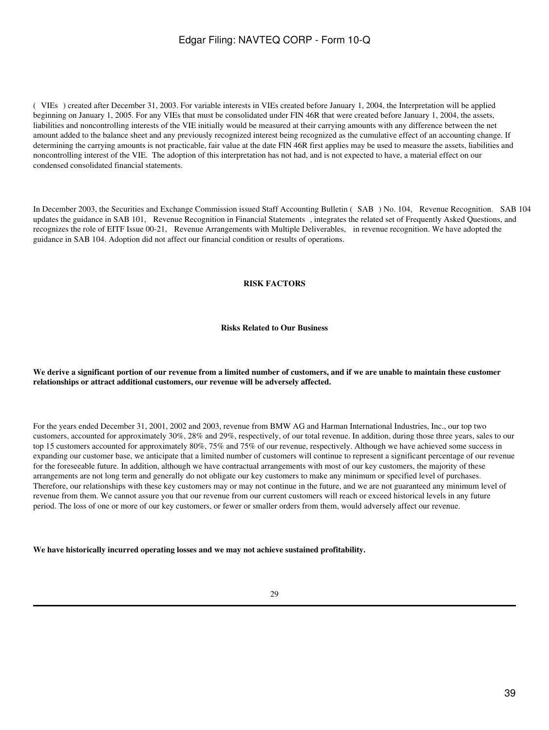(VIEs) created after December 31, 2003. For variable interests in VIEs created before January 1, 2004, the Interpretation will be applied beginning on January 1, 2005. For any VIEs that must be consolidated under FIN 46R that were created before January 1, 2004, the assets, liabilities and noncontrolling interests of the VIE initially would be measured at their carrying amounts with any difference between the net amount added to the balance sheet and any previously recognized interest being recognized as the cumulative effect of an accounting change. If determining the carrying amounts is not practicable, fair value at the date FIN 46R first applies may be used to measure the assets, liabilities and noncontrolling interest of the VIE. The adoption of this interpretation has not had, and is not expected to have, a material effect on our condensed consolidated financial statements.

In December 2003, the Securities and Exchange Commission issued Staff Accounting Bulletin (SAB) No. 104, Revenue Recognition. SAB 104 updates the guidance in SAB 101, Revenue Recognition in Financial Statements, integrates the related set of Frequently Asked Questions, and recognizes the role of EITF Issue 00-21, Revenue Arrangements with Multiple Deliverables, in revenue recognition. We have adopted the guidance in SAB 104. Adoption did not affect our financial condition or results of operations.

### **RISK FACTORS**

### **Risks Related to Our Business**

### **We derive a significant portion of our revenue from a limited number of customers, and if we are unable to maintain these customer relationships or attract additional customers, our revenue will be adversely affected.**

For the years ended December 31, 2001, 2002 and 2003, revenue from BMW AG and Harman International Industries, Inc., our top two customers, accounted for approximately 30%, 28% and 29%, respectively, of our total revenue. In addition, during those three years, sales to our top 15 customers accounted for approximately 80%, 75% and 75% of our revenue, respectively. Although we have achieved some success in expanding our customer base, we anticipate that a limited number of customers will continue to represent a significant percentage of our revenue for the foreseeable future. In addition, although we have contractual arrangements with most of our key customers, the majority of these arrangements are not long term and generally do not obligate our key customers to make any minimum or specified level of purchases. Therefore, our relationships with these key customers may or may not continue in the future, and we are not guaranteed any minimum level of revenue from them. We cannot assure you that our revenue from our current customers will reach or exceed historical levels in any future period. The loss of one or more of our key customers, or fewer or smaller orders from them, would adversely affect our revenue.

**We have historically incurred operating losses and we may not achieve sustained profitability.**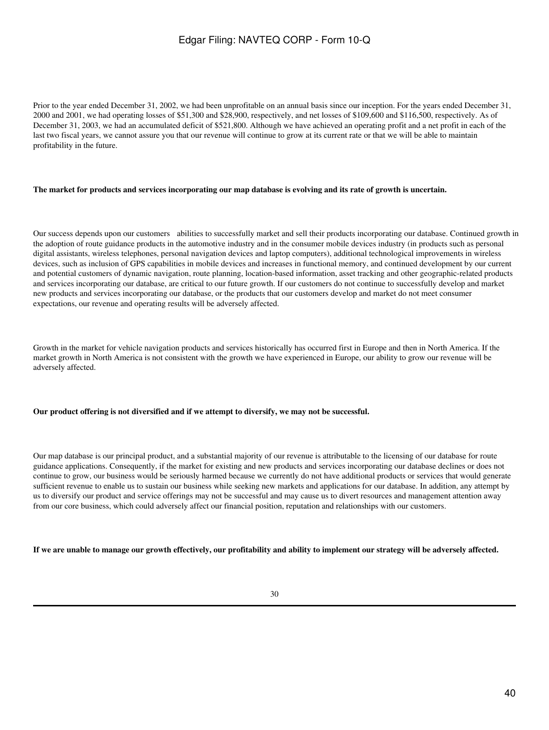Prior to the year ended December 31, 2002, we had been unprofitable on an annual basis since our inception. For the years ended December 31, 2000 and 2001, we had operating losses of \$51,300 and \$28,900, respectively, and net losses of \$109,600 and \$116,500, respectively. As of December 31, 2003, we had an accumulated deficit of \$521,800. Although we have achieved an operating profit and a net profit in each of the last two fiscal years, we cannot assure you that our revenue will continue to grow at its current rate or that we will be able to maintain profitability in the future.

#### **The market for products and services incorporating our map database is evolving and its rate of growth is uncertain.**

Our success depends upon our customers abilities to successfully market and sell their products incorporating our database. Continued growth in the adoption of route guidance products in the automotive industry and in the consumer mobile devices industry (in products such as personal digital assistants, wireless telephones, personal navigation devices and laptop computers), additional technological improvements in wireless devices, such as inclusion of GPS capabilities in mobile devices and increases in functional memory, and continued development by our current and potential customers of dynamic navigation, route planning, location-based information, asset tracking and other geographic-related products and services incorporating our database, are critical to our future growth. If our customers do not continue to successfully develop and market new products and services incorporating our database, or the products that our customers develop and market do not meet consumer expectations, our revenue and operating results will be adversely affected.

Growth in the market for vehicle navigation products and services historically has occurred first in Europe and then in North America. If the market growth in North America is not consistent with the growth we have experienced in Europe, our ability to grow our revenue will be adversely affected.

#### **Our product offering is not diversified and if we attempt to diversify, we may not be successful.**

Our map database is our principal product, and a substantial majority of our revenue is attributable to the licensing of our database for route guidance applications. Consequently, if the market for existing and new products and services incorporating our database declines or does not continue to grow, our business would be seriously harmed because we currently do not have additional products or services that would generate sufficient revenue to enable us to sustain our business while seeking new markets and applications for our database. In addition, any attempt by us to diversify our product and service offerings may not be successful and may cause us to divert resources and management attention away from our core business, which could adversely affect our financial position, reputation and relationships with our customers.

#### **If we are unable to manage our growth effectively, our profitability and ability to implement our strategy will be adversely affected.**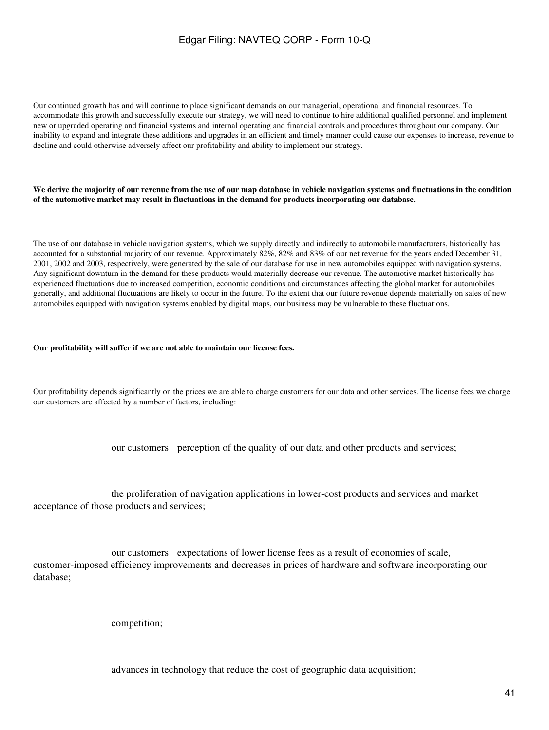Our continued growth has and will continue to place significant demands on our managerial, operational and financial resources. To accommodate this growth and successfully execute our strategy, we will need to continue to hire additional qualified personnel and implement new or upgraded operating and financial systems and internal operating and financial controls and procedures throughout our company. Our inability to expand and integrate these additions and upgrades in an efficient and timely manner could cause our expenses to increase, revenue to decline and could otherwise adversely affect our profitability and ability to implement our strategy.

### **We derive the majority of our revenue from the use of our map database in vehicle navigation systems and fluctuations in the condition of the automotive market may result in fluctuations in the demand for products incorporating our database.**

The use of our database in vehicle navigation systems, which we supply directly and indirectly to automobile manufacturers, historically has accounted for a substantial majority of our revenue. Approximately 82%, 82% and 83% of our net revenue for the years ended December 31, 2001, 2002 and 2003, respectively, were generated by the sale of our database for use in new automobiles equipped with navigation systems. Any significant downturn in the demand for these products would materially decrease our revenue. The automotive market historically has experienced fluctuations due to increased competition, economic conditions and circumstances affecting the global market for automobiles generally, and additional fluctuations are likely to occur in the future. To the extent that our future revenue depends materially on sales of new automobiles equipped with navigation systems enabled by digital maps, our business may be vulnerable to these fluctuations.

### **Our profitability will suffer if we are not able to maintain our license fees.**

Our profitability depends significantly on the prices we are able to charge customers for our data and other services. The license fees we charge our customers are affected by a number of factors, including:

our customers perception of the quality of our data and other products and services;

 the proliferation of navigation applications in lower-cost products and services and market acceptance of those products and services;

 our customers expectations of lower license fees as a result of economies of scale, customer-imposed efficiency improvements and decreases in prices of hardware and software incorporating our database;

competition;

advances in technology that reduce the cost of geographic data acquisition;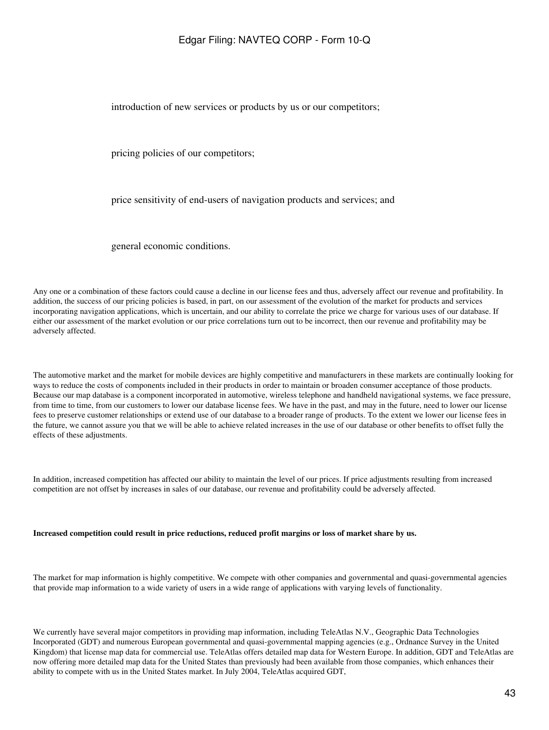introduction of new services or products by us or our competitors;

pricing policies of our competitors;

price sensitivity of end-users of navigation products and services; and

general economic conditions.

Any one or a combination of these factors could cause a decline in our license fees and thus, adversely affect our revenue and profitability. In addition, the success of our pricing policies is based, in part, on our assessment of the evolution of the market for products and services incorporating navigation applications, which is uncertain, and our ability to correlate the price we charge for various uses of our database. If either our assessment of the market evolution or our price correlations turn out to be incorrect, then our revenue and profitability may be adversely affected.

The automotive market and the market for mobile devices are highly competitive and manufacturers in these markets are continually looking for ways to reduce the costs of components included in their products in order to maintain or broaden consumer acceptance of those products. Because our map database is a component incorporated in automotive, wireless telephone and handheld navigational systems, we face pressure, from time to time, from our customers to lower our database license fees. We have in the past, and may in the future, need to lower our license fees to preserve customer relationships or extend use of our database to a broader range of products. To the extent we lower our license fees in the future, we cannot assure you that we will be able to achieve related increases in the use of our database or other benefits to offset fully the effects of these adjustments.

In addition, increased competition has affected our ability to maintain the level of our prices. If price adjustments resulting from increased competition are not offset by increases in sales of our database, our revenue and profitability could be adversely affected.

**Increased competition could result in price reductions, reduced profit margins or loss of market share by us.**

The market for map information is highly competitive. We compete with other companies and governmental and quasi-governmental agencies that provide map information to a wide variety of users in a wide range of applications with varying levels of functionality.

We currently have several major competitors in providing map information, including TeleAtlas N.V., Geographic Data Technologies Incorporated (GDT) and numerous European governmental and quasi-governmental mapping agencies (e.g., Ordnance Survey in the United Kingdom) that license map data for commercial use. TeleAtlas offers detailed map data for Western Europe. In addition, GDT and TeleAtlas are now offering more detailed map data for the United States than previously had been available from those companies, which enhances their ability to compete with us in the United States market. In July 2004, TeleAtlas acquired GDT,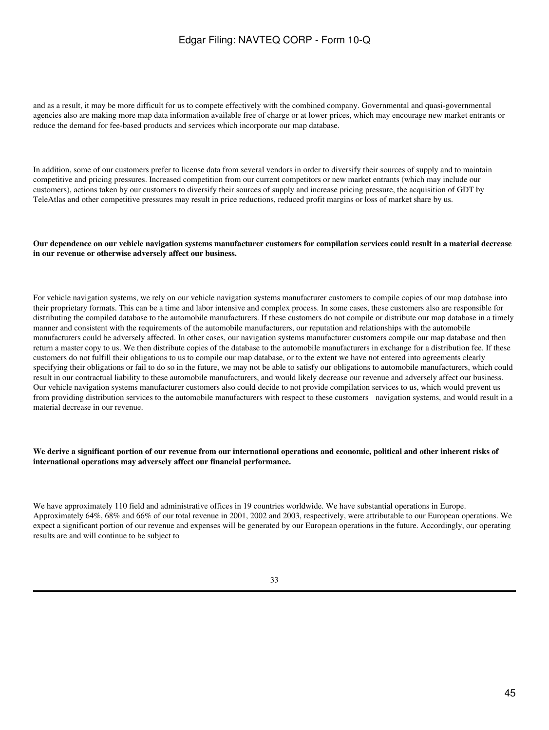and as a result, it may be more difficult for us to compete effectively with the combined company. Governmental and quasi-governmental agencies also are making more map data information available free of charge or at lower prices, which may encourage new market entrants or reduce the demand for fee-based products and services which incorporate our map database.

In addition, some of our customers prefer to license data from several vendors in order to diversify their sources of supply and to maintain competitive and pricing pressures. Increased competition from our current competitors or new market entrants (which may include our customers), actions taken by our customers to diversify their sources of supply and increase pricing pressure, the acquisition of GDT by TeleAtlas and other competitive pressures may result in price reductions, reduced profit margins or loss of market share by us.

#### **Our dependence on our vehicle navigation systems manufacturer customers for compilation services could result in a material decrease in our revenue or otherwise adversely affect our business.**

For vehicle navigation systems, we rely on our vehicle navigation systems manufacturer customers to compile copies of our map database into their proprietary formats. This can be a time and labor intensive and complex process. In some cases, these customers also are responsible for distributing the compiled database to the automobile manufacturers. If these customers do not compile or distribute our map database in a timely manner and consistent with the requirements of the automobile manufacturers, our reputation and relationships with the automobile manufacturers could be adversely affected. In other cases, our navigation systems manufacturer customers compile our map database and then return a master copy to us. We then distribute copies of the database to the automobile manufacturers in exchange for a distribution fee. If these customers do not fulfill their obligations to us to compile our map database, or to the extent we have not entered into agreements clearly specifying their obligations or fail to do so in the future, we may not be able to satisfy our obligations to automobile manufacturers, which could result in our contractual liability to these automobile manufacturers, and would likely decrease our revenue and adversely affect our business. Our vehicle navigation systems manufacturer customers also could decide to not provide compilation services to us, which would prevent us from providing distribution services to the automobile manufacturers with respect to these customers navigation systems, and would result in a material decrease in our revenue.

### **We derive a significant portion of our revenue from our international operations and economic, political and other inherent risks of international operations may adversely affect our financial performance.**

We have approximately 110 field and administrative offices in 19 countries worldwide. We have substantial operations in Europe. Approximately 64%, 68% and 66% of our total revenue in 2001, 2002 and 2003, respectively, were attributable to our European operations. We expect a significant portion of our revenue and expenses will be generated by our European operations in the future. Accordingly, our operating results are and will continue to be subject to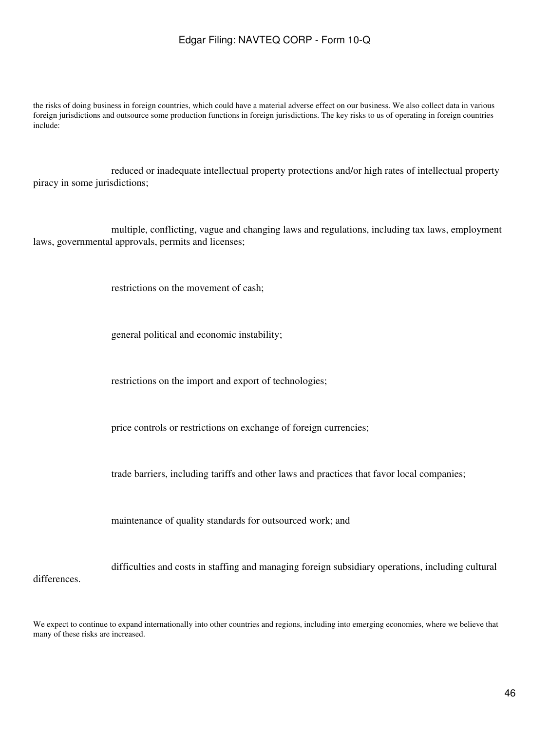the risks of doing business in foreign countries, which could have a material adverse effect on our business. We also collect data in various foreign jurisdictions and outsource some production functions in foreign jurisdictions. The key risks to us of operating in foreign countries include:

 reduced or inadequate intellectual property protections and/or high rates of intellectual property piracy in some jurisdictions;

 multiple, conflicting, vague and changing laws and regulations, including tax laws, employment laws, governmental approvals, permits and licenses;

restrictions on the movement of cash;

general political and economic instability;

restrictions on the import and export of technologies;

price controls or restrictions on exchange of foreign currencies;

trade barriers, including tariffs and other laws and practices that favor local companies;

maintenance of quality standards for outsourced work; and

 difficulties and costs in staffing and managing foreign subsidiary operations, including cultural differences.

We expect to continue to expand internationally into other countries and regions, including into emerging economies, where we believe that many of these risks are increased.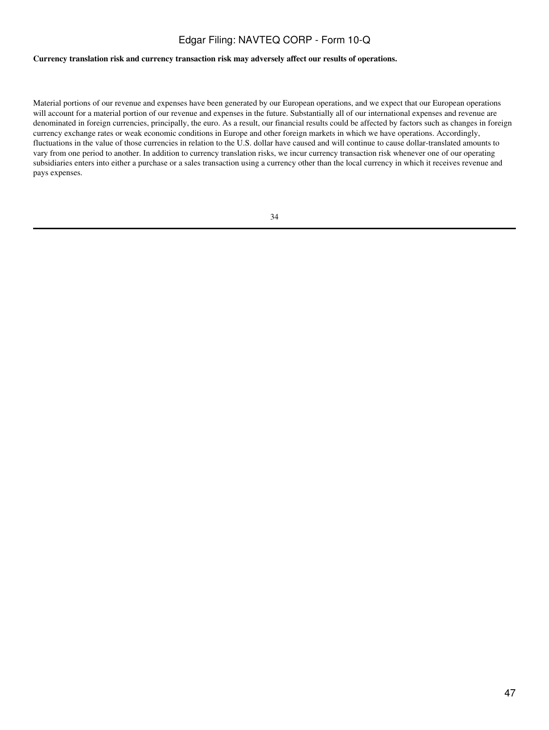### **Currency translation risk and currency transaction risk may adversely affect our results of operations.**

Material portions of our revenue and expenses have been generated by our European operations, and we expect that our European operations will account for a material portion of our revenue and expenses in the future. Substantially all of our international expenses and revenue are denominated in foreign currencies, principally, the euro. As a result, our financial results could be affected by factors such as changes in foreign currency exchange rates or weak economic conditions in Europe and other foreign markets in which we have operations. Accordingly, fluctuations in the value of those currencies in relation to the U.S. dollar have caused and will continue to cause dollar-translated amounts to vary from one period to another. In addition to currency translation risks, we incur currency transaction risk whenever one of our operating subsidiaries enters into either a purchase or a sales transaction using a currency other than the local currency in which it receives revenue and pays expenses.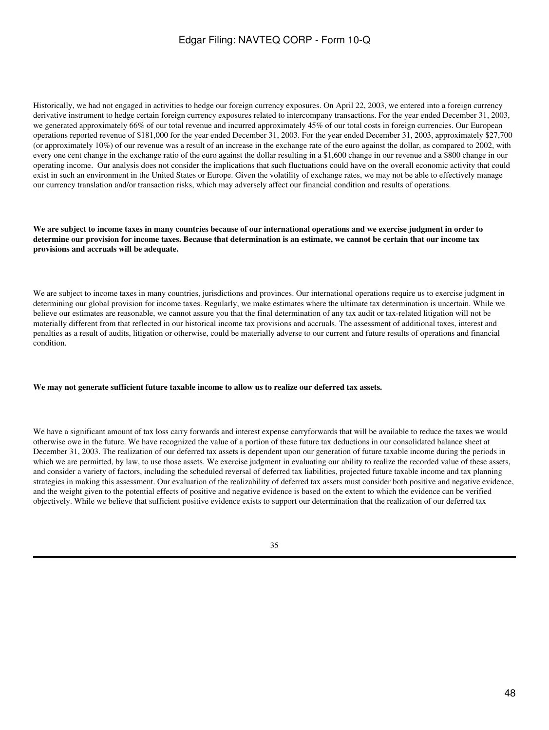Historically, we had not engaged in activities to hedge our foreign currency exposures. On April 22, 2003, we entered into a foreign currency derivative instrument to hedge certain foreign currency exposures related to intercompany transactions. For the year ended December 31, 2003, we generated approximately 66% of our total revenue and incurred approximately 45% of our total costs in foreign currencies. Our European operations reported revenue of \$181,000 for the year ended December 31, 2003. For the year ended December 31, 2003, approximately \$27,700 (or approximately 10%) of our revenue was a result of an increase in the exchange rate of the euro against the dollar, as compared to 2002, with every one cent change in the exchange ratio of the euro against the dollar resulting in a \$1,600 change in our revenue and a \$800 change in our operating income. Our analysis does not consider the implications that such fluctuations could have on the overall economic activity that could exist in such an environment in the United States or Europe. Given the volatility of exchange rates, we may not be able to effectively manage our currency translation and/or transaction risks, which may adversely affect our financial condition and results of operations.

**We are subject to income taxes in many countries because of our international operations and we exercise judgment in order to determine our provision for income taxes. Because that determination is an estimate, we cannot be certain that our income tax provisions and accruals will be adequate.**

We are subject to income taxes in many countries, jurisdictions and provinces. Our international operations require us to exercise judgment in determining our global provision for income taxes. Regularly, we make estimates where the ultimate tax determination is uncertain. While we believe our estimates are reasonable, we cannot assure you that the final determination of any tax audit or tax-related litigation will not be materially different from that reflected in our historical income tax provisions and accruals. The assessment of additional taxes, interest and penalties as a result of audits, litigation or otherwise, could be materially adverse to our current and future results of operations and financial condition.

#### **We may not generate sufficient future taxable income to allow us to realize our deferred tax assets.**

We have a significant amount of tax loss carry forwards and interest expense carryforwards that will be available to reduce the taxes we would otherwise owe in the future. We have recognized the value of a portion of these future tax deductions in our consolidated balance sheet at December 31, 2003. The realization of our deferred tax assets is dependent upon our generation of future taxable income during the periods in which we are permitted, by law, to use those assets. We exercise judgment in evaluating our ability to realize the recorded value of these assets, and consider a variety of factors, including the scheduled reversal of deferred tax liabilities, projected future taxable income and tax planning strategies in making this assessment. Our evaluation of the realizability of deferred tax assets must consider both positive and negative evidence, and the weight given to the potential effects of positive and negative evidence is based on the extent to which the evidence can be verified objectively. While we believe that sufficient positive evidence exists to support our determination that the realization of our deferred tax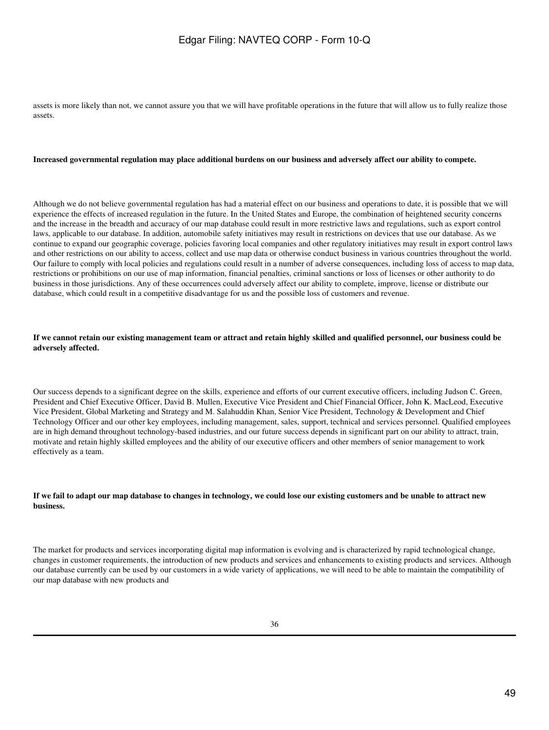assets is more likely than not, we cannot assure you that we will have profitable operations in the future that will allow us to fully realize those assets.

#### **Increased governmental regulation may place additional burdens on our business and adversely affect our ability to compete.**

Although we do not believe governmental regulation has had a material effect on our business and operations to date, it is possible that we will experience the effects of increased regulation in the future. In the United States and Europe, the combination of heightened security concerns and the increase in the breadth and accuracy of our map database could result in more restrictive laws and regulations, such as export control laws, applicable to our database. In addition, automobile safety initiatives may result in restrictions on devices that use our database. As we continue to expand our geographic coverage, policies favoring local companies and other regulatory initiatives may result in export control laws and other restrictions on our ability to access, collect and use map data or otherwise conduct business in various countries throughout the world. Our failure to comply with local policies and regulations could result in a number of adverse consequences, including loss of access to map data, restrictions or prohibitions on our use of map information, financial penalties, criminal sanctions or loss of licenses or other authority to do business in those jurisdictions. Any of these occurrences could adversely affect our ability to complete, improve, license or distribute our database, which could result in a competitive disadvantage for us and the possible loss of customers and revenue.

### **If we cannot retain our existing management team or attract and retain highly skilled and qualified personnel, our business could be adversely affected.**

Our success depends to a significant degree on the skills, experience and efforts of our current executive officers, including Judson C. Green, President and Chief Executive Officer, David B. Mullen, Executive Vice President and Chief Financial Officer, John K. MacLeod, Executive Vice President, Global Marketing and Strategy and M. Salahuddin Khan, Senior Vice President, Technology & Development and Chief Technology Officer and our other key employees, including management, sales, support, technical and services personnel. Qualified employees are in high demand throughout technology-based industries, and our future success depends in significant part on our ability to attract, train, motivate and retain highly skilled employees and the ability of our executive officers and other members of senior management to work effectively as a team.

#### **If we fail to adapt our map database to changes in technology, we could lose our existing customers and be unable to attract new business.**

The market for products and services incorporating digital map information is evolving and is characterized by rapid technological change, changes in customer requirements, the introduction of new products and services and enhancements to existing products and services. Although our database currently can be used by our customers in a wide variety of applications, we will need to be able to maintain the compatibility of our map database with new products and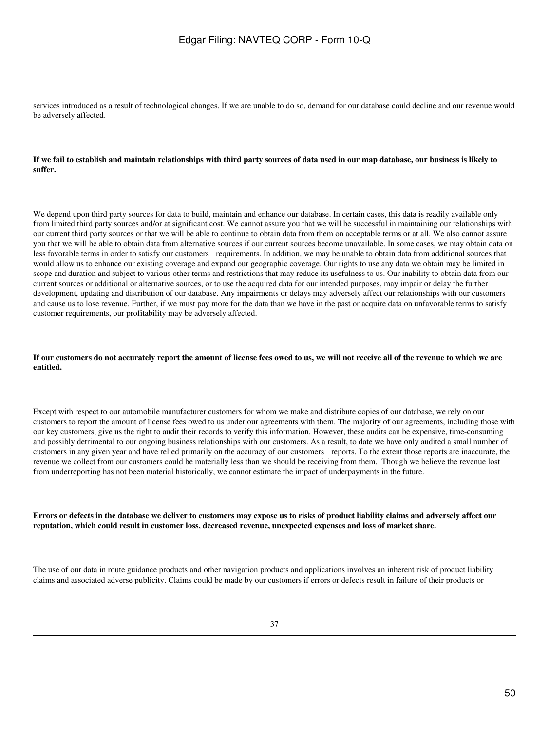services introduced as a result of technological changes. If we are unable to do so, demand for our database could decline and our revenue would be adversely affected.

### **If we fail to establish and maintain relationships with third party sources of data used in our map database, our business is likely to suffer.**

We depend upon third party sources for data to build, maintain and enhance our database. In certain cases, this data is readily available only from limited third party sources and/or at significant cost. We cannot assure you that we will be successful in maintaining our relationships with our current third party sources or that we will be able to continue to obtain data from them on acceptable terms or at all. We also cannot assure you that we will be able to obtain data from alternative sources if our current sources become unavailable. In some cases, we may obtain data on less favorable terms in order to satisfy our customers requirements. In addition, we may be unable to obtain data from additional sources that would allow us to enhance our existing coverage and expand our geographic coverage. Our rights to use any data we obtain may be limited in scope and duration and subject to various other terms and restrictions that may reduce its usefulness to us. Our inability to obtain data from our current sources or additional or alternative sources, or to use the acquired data for our intended purposes, may impair or delay the further development, updating and distribution of our database. Any impairments or delays may adversely affect our relationships with our customers and cause us to lose revenue. Further, if we must pay more for the data than we have in the past or acquire data on unfavorable terms to satisfy customer requirements, our profitability may be adversely affected.

### **If our customers do not accurately report the amount of license fees owed to us, we will not receive all of the revenue to which we are entitled.**

Except with respect to our automobile manufacturer customers for whom we make and distribute copies of our database, we rely on our customers to report the amount of license fees owed to us under our agreements with them. The majority of our agreements, including those with our key customers, give us the right to audit their records to verify this information. However, these audits can be expensive, time-consuming and possibly detrimental to our ongoing business relationships with our customers. As a result, to date we have only audited a small number of customers in any given year and have relied primarily on the accuracy of our customers reports. To the extent those reports are inaccurate, the revenue we collect from our customers could be materially less than we should be receiving from them. Though we believe the revenue lost from underreporting has not been material historically, we cannot estimate the impact of underpayments in the future.

### **Errors or defects in the database we deliver to customers may expose us to risks of product liability claims and adversely affect our reputation, which could result in customer loss, decreased revenue, unexpected expenses and loss of market share.**

The use of our data in route guidance products and other navigation products and applications involves an inherent risk of product liability claims and associated adverse publicity. Claims could be made by our customers if errors or defects result in failure of their products or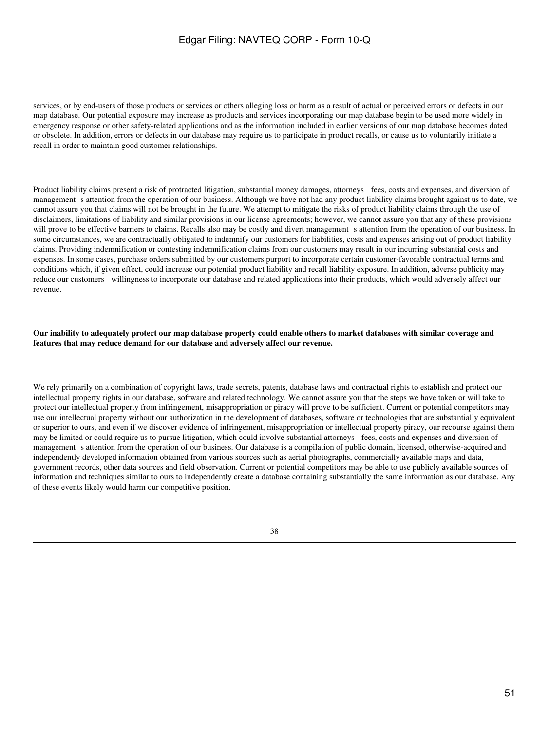services, or by end-users of those products or services or others alleging loss or harm as a result of actual or perceived errors or defects in our map database. Our potential exposure may increase as products and services incorporating our map database begin to be used more widely in emergency response or other safety-related applications and as the information included in earlier versions of our map database becomes dated or obsolete. In addition, errors or defects in our database may require us to participate in product recalls, or cause us to voluntarily initiate a recall in order to maintain good customer relationships.

Product liability claims present a risk of protracted litigation, substantial money damages, attorneys fees, costs and expenses, and diversion of management s attention from the operation of our business. Although we have not had any product liability claims brought against us to date, we cannot assure you that claims will not be brought in the future. We attempt to mitigate the risks of product liability claims through the use of disclaimers, limitations of liability and similar provisions in our license agreements; however, we cannot assure you that any of these provisions will prove to be effective barriers to claims. Recalls also may be costly and divert management s attention from the operation of our business. In some circumstances, we are contractually obligated to indemnify our customers for liabilities, costs and expenses arising out of product liability claims. Providing indemnification or contesting indemnification claims from our customers may result in our incurring substantial costs and expenses. In some cases, purchase orders submitted by our customers purport to incorporate certain customer-favorable contractual terms and conditions which, if given effect, could increase our potential product liability and recall liability exposure. In addition, adverse publicity may reduce our customers willingness to incorporate our database and related applications into their products, which would adversely affect our revenue.

### **Our inability to adequately protect our map database property could enable others to market databases with similar coverage and features that may reduce demand for our database and adversely affect our revenue.**

We rely primarily on a combination of copyright laws, trade secrets, patents, database laws and contractual rights to establish and protect our intellectual property rights in our database, software and related technology. We cannot assure you that the steps we have taken or will take to protect our intellectual property from infringement, misappropriation or piracy will prove to be sufficient. Current or potential competitors may use our intellectual property without our authorization in the development of databases, software or technologies that are substantially equivalent or superior to ours, and even if we discover evidence of infringement, misappropriation or intellectual property piracy, our recourse against them may be limited or could require us to pursue litigation, which could involve substantial attorneys fees, costs and expenses and diversion of management s attention from the operation of our business. Our database is a compilation of public domain, licensed, otherwise-acquired and independently developed information obtained from various sources such as aerial photographs, commercially available maps and data, government records, other data sources and field observation. Current or potential competitors may be able to use publicly available sources of information and techniques similar to ours to independently create a database containing substantially the same information as our database. Any of these events likely would harm our competitive position.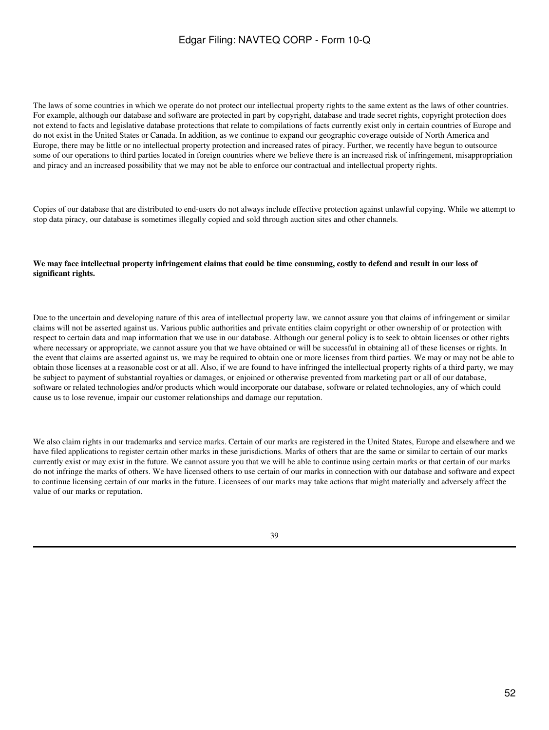The laws of some countries in which we operate do not protect our intellectual property rights to the same extent as the laws of other countries. For example, although our database and software are protected in part by copyright, database and trade secret rights, copyright protection does not extend to facts and legislative database protections that relate to compilations of facts currently exist only in certain countries of Europe and do not exist in the United States or Canada. In addition, as we continue to expand our geographic coverage outside of North America and Europe, there may be little or no intellectual property protection and increased rates of piracy. Further, we recently have begun to outsource some of our operations to third parties located in foreign countries where we believe there is an increased risk of infringement, misappropriation and piracy and an increased possibility that we may not be able to enforce our contractual and intellectual property rights.

Copies of our database that are distributed to end-users do not always include effective protection against unlawful copying. While we attempt to stop data piracy, our database is sometimes illegally copied and sold through auction sites and other channels.

### **We may face intellectual property infringement claims that could be time consuming, costly to defend and result in our loss of significant rights.**

Due to the uncertain and developing nature of this area of intellectual property law, we cannot assure you that claims of infringement or similar claims will not be asserted against us. Various public authorities and private entities claim copyright or other ownership of or protection with respect to certain data and map information that we use in our database. Although our general policy is to seek to obtain licenses or other rights where necessary or appropriate, we cannot assure you that we have obtained or will be successful in obtaining all of these licenses or rights. In the event that claims are asserted against us, we may be required to obtain one or more licenses from third parties. We may or may not be able to obtain those licenses at a reasonable cost or at all. Also, if we are found to have infringed the intellectual property rights of a third party, we may be subject to payment of substantial royalties or damages, or enjoined or otherwise prevented from marketing part or all of our database, software or related technologies and/or products which would incorporate our database, software or related technologies, any of which could cause us to lose revenue, impair our customer relationships and damage our reputation.

We also claim rights in our trademarks and service marks. Certain of our marks are registered in the United States, Europe and elsewhere and we have filed applications to register certain other marks in these jurisdictions. Marks of others that are the same or similar to certain of our marks currently exist or may exist in the future. We cannot assure you that we will be able to continue using certain marks or that certain of our marks do not infringe the marks of others. We have licensed others to use certain of our marks in connection with our database and software and expect to continue licensing certain of our marks in the future. Licensees of our marks may take actions that might materially and adversely affect the value of our marks or reputation.

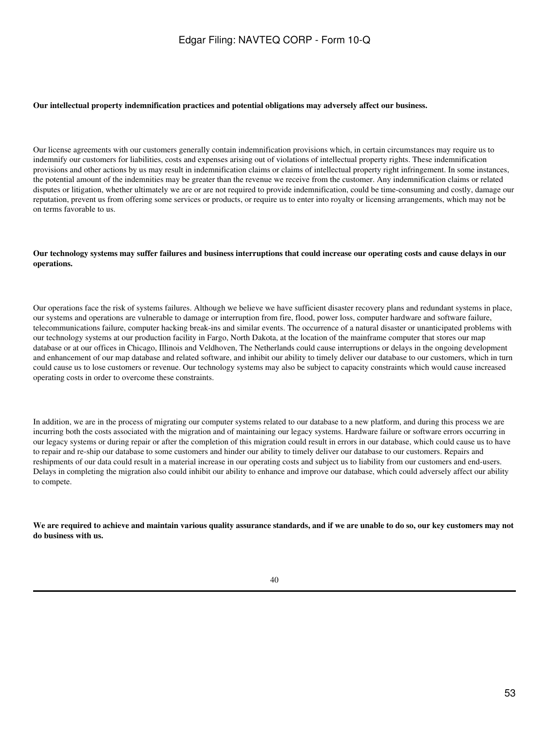#### **Our intellectual property indemnification practices and potential obligations may adversely affect our business.**

Our license agreements with our customers generally contain indemnification provisions which, in certain circumstances may require us to indemnify our customers for liabilities, costs and expenses arising out of violations of intellectual property rights. These indemnification provisions and other actions by us may result in indemnification claims or claims of intellectual property right infringement. In some instances, the potential amount of the indemnities may be greater than the revenue we receive from the customer. Any indemnification claims or related disputes or litigation, whether ultimately we are or are not required to provide indemnification, could be time-consuming and costly, damage our reputation, prevent us from offering some services or products, or require us to enter into royalty or licensing arrangements, which may not be on terms favorable to us.

### **Our technology systems may suffer failures and business interruptions that could increase our operating costs and cause delays in our operations.**

Our operations face the risk of systems failures. Although we believe we have sufficient disaster recovery plans and redundant systems in place, our systems and operations are vulnerable to damage or interruption from fire, flood, power loss, computer hardware and software failure, telecommunications failure, computer hacking break-ins and similar events. The occurrence of a natural disaster or unanticipated problems with our technology systems at our production facility in Fargo, North Dakota, at the location of the mainframe computer that stores our map database or at our offices in Chicago, Illinois and Veldhoven, The Netherlands could cause interruptions or delays in the ongoing development and enhancement of our map database and related software, and inhibit our ability to timely deliver our database to our customers, which in turn could cause us to lose customers or revenue. Our technology systems may also be subject to capacity constraints which would cause increased operating costs in order to overcome these constraints.

In addition, we are in the process of migrating our computer systems related to our database to a new platform, and during this process we are incurring both the costs associated with the migration and of maintaining our legacy systems. Hardware failure or software errors occurring in our legacy systems or during repair or after the completion of this migration could result in errors in our database, which could cause us to have to repair and re-ship our database to some customers and hinder our ability to timely deliver our database to our customers. Repairs and reshipments of our data could result in a material increase in our operating costs and subject us to liability from our customers and end-users. Delays in completing the migration also could inhibit our ability to enhance and improve our database, which could adversely affect our ability to compete.

**We are required to achieve and maintain various quality assurance standards, and if we are unable to do so, our key customers may not do business with us.**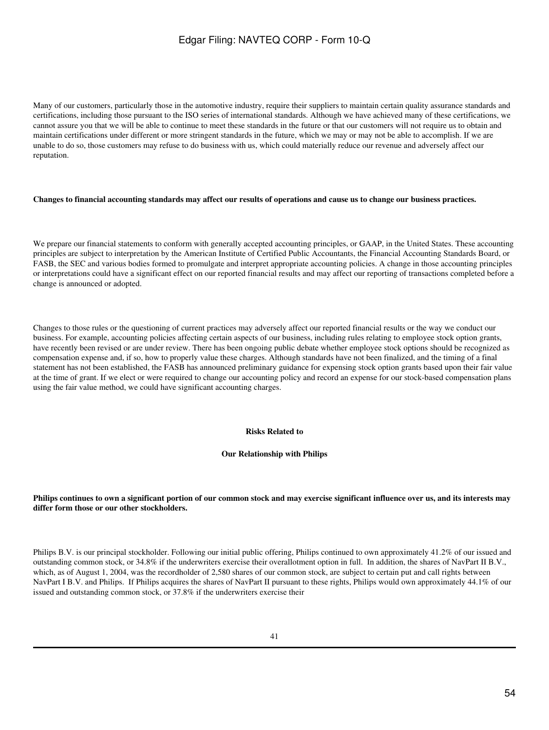Many of our customers, particularly those in the automotive industry, require their suppliers to maintain certain quality assurance standards and certifications, including those pursuant to the ISO series of international standards. Although we have achieved many of these certifications, we cannot assure you that we will be able to continue to meet these standards in the future or that our customers will not require us to obtain and maintain certifications under different or more stringent standards in the future, which we may or may not be able to accomplish. If we are unable to do so, those customers may refuse to do business with us, which could materially reduce our revenue and adversely affect our reputation.

#### **Changes to financial accounting standards may affect our results of operations and cause us to change our business practices.**

We prepare our financial statements to conform with generally accepted accounting principles, or GAAP, in the United States. These accounting principles are subject to interpretation by the American Institute of Certified Public Accountants, the Financial Accounting Standards Board, or FASB, the SEC and various bodies formed to promulgate and interpret appropriate accounting policies. A change in those accounting principles or interpretations could have a significant effect on our reported financial results and may affect our reporting of transactions completed before a change is announced or adopted.

Changes to those rules or the questioning of current practices may adversely affect our reported financial results or the way we conduct our business. For example, accounting policies affecting certain aspects of our business, including rules relating to employee stock option grants, have recently been revised or are under review. There has been ongoing public debate whether employee stock options should be recognized as compensation expense and, if so, how to properly value these charges. Although standards have not been finalized, and the timing of a final statement has not been established, the FASB has announced preliminary guidance for expensing stock option grants based upon their fair value at the time of grant. If we elect or were required to change our accounting policy and record an expense for our stock-based compensation plans using the fair value method, we could have significant accounting charges.

#### **Risks Related to**

#### **Our Relationship with Philips**

#### **Philips continues to own a significant portion of our common stock and may exercise significant influence over us, and its interests may differ form those or our other stockholders.**

Philips B.V. is our principal stockholder. Following our initial public offering, Philips continued to own approximately 41.2% of our issued and outstanding common stock, or 34.8% if the underwriters exercise their overallotment option in full. In addition, the shares of NavPart II B.V., which, as of August 1, 2004, was the recordholder of 2,580 shares of our common stock, are subject to certain put and call rights between NavPart I B.V. and Philips. If Philips acquires the shares of NavPart II pursuant to these rights, Philips would own approximately 44.1% of our issued and outstanding common stock, or 37.8% if the underwriters exercise their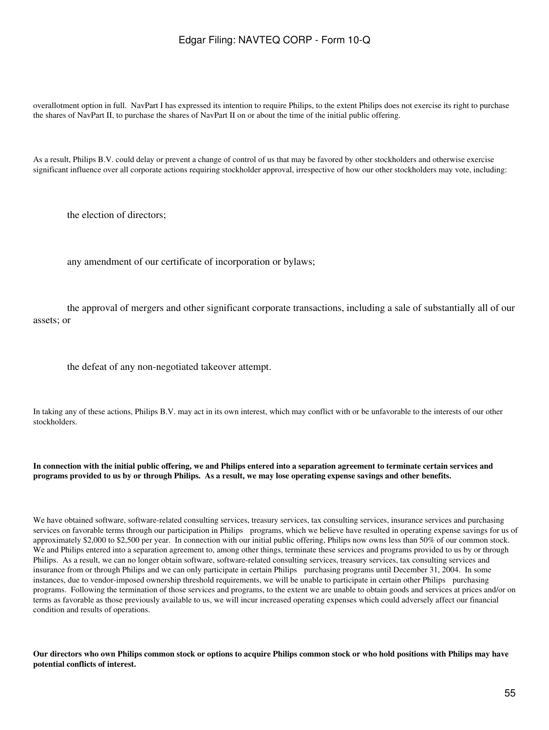overallotment option in full. NavPart I has expressed its intention to require Philips, to the extent Philips does not exercise its right to purchase the shares of NavPart II, to purchase the shares of NavPart II on or about the time of the initial public offering.

As a result, Philips B.V. could delay or prevent a change of control of us that may be favored by other stockholders and otherwise exercise significant influence over all corporate actions requiring stockholder approval, irrespective of how our other stockholders may vote, including:

the election of directors;

any amendment of our certificate of incorporation or bylaws;

 the approval of mergers and other significant corporate transactions, including a sale of substantially all of our assets; or

the defeat of any non-negotiated takeover attempt.

In taking any of these actions, Philips B.V. may act in its own interest, which may conflict with or be unfavorable to the interests of our other stockholders.

**In connection with the initial public offering, we and Philips entered into a separation agreement to terminate certain services and programs provided to us by or through Philips. As a result, we may lose operating expense savings and other benefits.**

We have obtained software, software-related consulting services, treasury services, tax consulting services, insurance services and purchasing services on favorable terms through our participation in Philips programs, which we believe have resulted in operating expense savings for us of approximately \$2,000 to \$2,500 per year. In connection with our initial public offering, Philips now owns less than 50% of our common stock. We and Philips entered into a separation agreement to, among other things, terminate these services and programs provided to us by or through Philips. As a result, we can no longer obtain software, software-related consulting services, treasury services, tax consulting services and insurance from or through Philips and we can only participate in certain Philips purchasing programs until December 31, 2004. In some instances, due to vendor-imposed ownership threshold requirements, we will be unable to participate in certain other Philips purchasing programs. Following the termination of those services and programs, to the extent we are unable to obtain goods and services at prices and/or on terms as favorable as those previously available to us, we will incur increased operating expenses which could adversely affect our financial condition and results of operations.

**Our directors who own Philips common stock or options to acquire Philips common stock or who hold positions with Philips may have potential conflicts of interest.**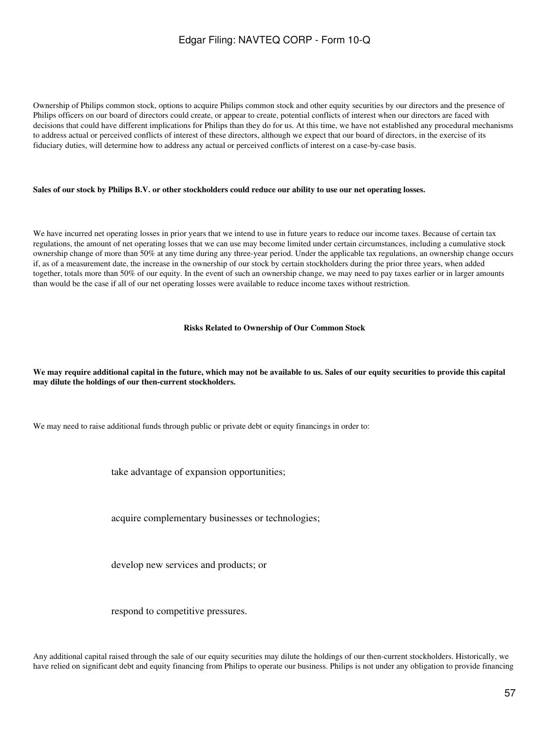Ownership of Philips common stock, options to acquire Philips common stock and other equity securities by our directors and the presence of Philips officers on our board of directors could create, or appear to create, potential conflicts of interest when our directors are faced with decisions that could have different implications for Philips than they do for us. At this time, we have not established any procedural mechanisms to address actual or perceived conflicts of interest of these directors, although we expect that our board of directors, in the exercise of its fiduciary duties, will determine how to address any actual or perceived conflicts of interest on a case-by-case basis.

#### **Sales of our stock by Philips B.V. or other stockholders could reduce our ability to use our net operating losses.**

We have incurred net operating losses in prior years that we intend to use in future years to reduce our income taxes. Because of certain tax regulations, the amount of net operating losses that we can use may become limited under certain circumstances, including a cumulative stock ownership change of more than 50% at any time during any three-year period. Under the applicable tax regulations, an ownership change occurs if, as of a measurement date, the increase in the ownership of our stock by certain stockholders during the prior three years, when added together, totals more than 50% of our equity. In the event of such an ownership change, we may need to pay taxes earlier or in larger amounts than would be the case if all of our net operating losses were available to reduce income taxes without restriction.

#### **Risks Related to Ownership of Our Common Stock**

**We may require additional capital in the future, which may not be available to us. Sales of our equity securities to provide this capital may dilute the holdings of our then-current stockholders.**

We may need to raise additional funds through public or private debt or equity financings in order to:

take advantage of expansion opportunities;

acquire complementary businesses or technologies;

develop new services and products; or

respond to competitive pressures.

Any additional capital raised through the sale of our equity securities may dilute the holdings of our then-current stockholders. Historically, we have relied on significant debt and equity financing from Philips to operate our business. Philips is not under any obligation to provide financing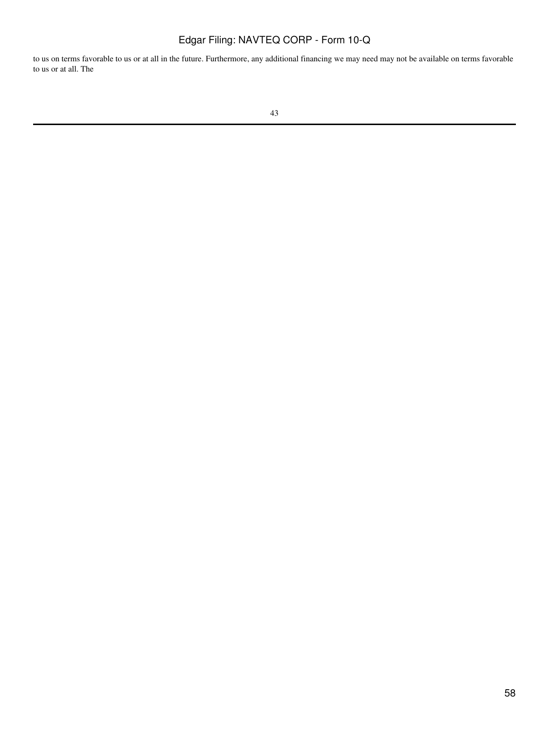to us on terms favorable to us or at all in the future. Furthermore, any additional financing we may need may not be available on terms favorable to us or at all. The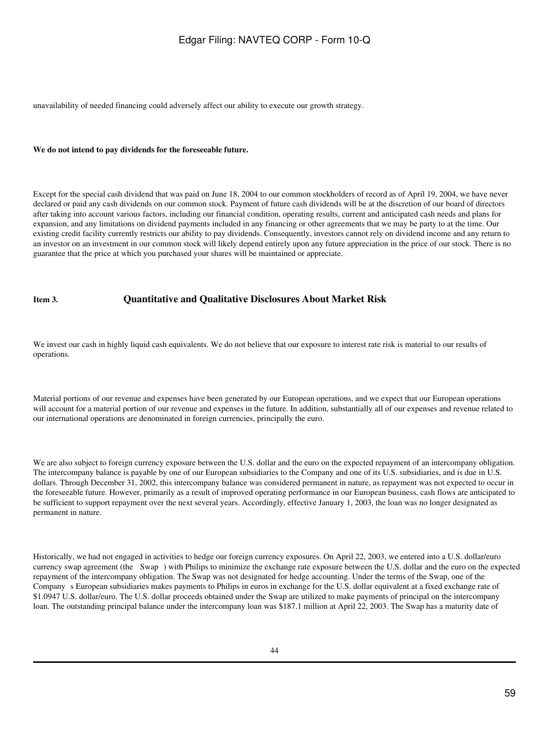unavailability of needed financing could adversely affect our ability to execute our growth strategy.

#### **We do not intend to pay dividends for the foreseeable future.**

Except for the special cash dividend that was paid on June 18, 2004 to our common stockholders of record as of April 19, 2004, we have never declared or paid any cash dividends on our common stock. Payment of future cash dividends will be at the discretion of our board of directors after taking into account various factors, including our financial condition, operating results, current and anticipated cash needs and plans for expansion, and any limitations on dividend payments included in any financing or other agreements that we may be party to at the time. Our existing credit facility currently restricts our ability to pay dividends. Consequently, investors cannot rely on dividend income and any return to an investor on an investment in our common stock will likely depend entirely upon any future appreciation in the price of our stock. There is no guarantee that the price at which you purchased your shares will be maintained or appreciate.

### **Item 3. Quantitative and Qualitative Disclosures About Market Risk**

We invest our cash in highly liquid cash equivalents. We do not believe that our exposure to interest rate risk is material to our results of operations.

Material portions of our revenue and expenses have been generated by our European operations, and we expect that our European operations will account for a material portion of our revenue and expenses in the future. In addition, substantially all of our expenses and revenue related to our international operations are denominated in foreign currencies, principally the euro.

We are also subject to foreign currency exposure between the U.S. dollar and the euro on the expected repayment of an intercompany obligation. The intercompany balance is payable by one of our European subsidiaries to the Company and one of its U.S. subsidiaries, and is due in U.S. dollars. Through December 31, 2002, this intercompany balance was considered permanent in nature, as repayment was not expected to occur in the foreseeable future. However, primarily as a result of improved operating performance in our European business, cash flows are anticipated to be sufficient to support repayment over the next several years. Accordingly, effective January 1, 2003, the loan was no longer designated as permanent in nature.

Historically, we had not engaged in activities to hedge our foreign currency exposures. On April 22, 2003, we entered into a U.S. dollar/euro currency swap agreement (the Swap) with Philips to minimize the exchange rate exposure between the U.S. dollar and the euro on the expected repayment of the intercompany obligation. The Swap was not designated for hedge accounting. Under the terms of the Swap, one of the Companys European subsidiaries makes payments to Philips in euros in exchange for the U.S. dollar equivalent at a fixed exchange rate of \$1.0947 U.S. dollar/euro. The U.S. dollar proceeds obtained under the Swap are utilized to make payments of principal on the intercompany loan. The outstanding principal balance under the intercompany loan was \$187.1 million at April 22, 2003. The Swap has a maturity date of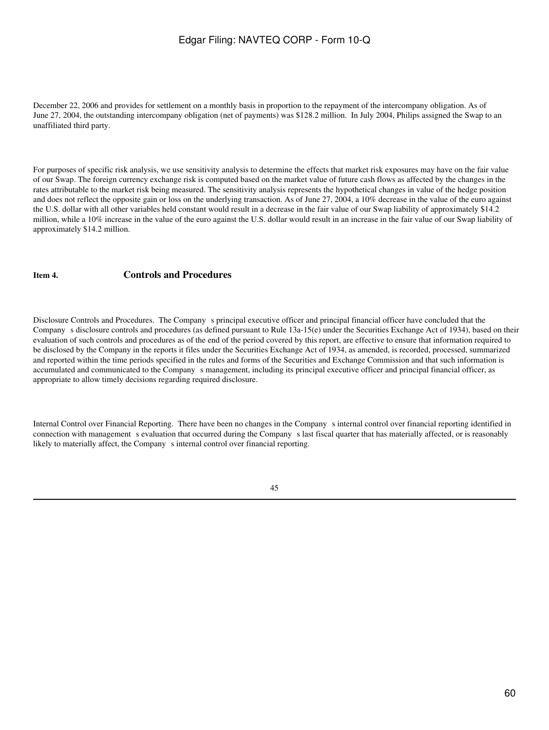December 22, 2006 and provides for settlement on a monthly basis in proportion to the repayment of the intercompany obligation. As of June 27, 2004, the outstanding intercompany obligation (net of payments) was \$128.2 million. In July 2004, Philips assigned the Swap to an unaffiliated third party.

For purposes of specific risk analysis, we use sensitivity analysis to determine the effects that market risk exposures may have on the fair value of our Swap. The foreign currency exchange risk is computed based on the market value of future cash flows as affected by the changes in the rates attributable to the market risk being measured. The sensitivity analysis represents the hypothetical changes in value of the hedge position and does not reflect the opposite gain or loss on the underlying transaction. As of June 27, 2004, a 10% decrease in the value of the euro against the U.S. dollar with all other variables held constant would result in a decrease in the fair value of our Swap liability of approximately \$14.2 million, while a 10% increase in the value of the euro against the U.S. dollar would result in an increase in the fair value of our Swap liability of approximately \$14.2 million.

### **Item 4. Controls and Procedures**

Disclosure Controls and Procedures. The Company s principal executive officer and principal financial officer have concluded that the Company s disclosure controls and procedures (as defined pursuant to Rule 13a-15(e) under the Securities Exchange Act of 1934), based on their evaluation of such controls and procedures as of the end of the period covered by this report, are effective to ensure that information required to be disclosed by the Company in the reports it files under the Securities Exchange Act of 1934, as amended, is recorded, processed, summarized and reported within the time periods specified in the rules and forms of the Securities and Exchange Commission and that such information is accumulated and communicated to the Company s management, including its principal executive officer and principal financial officer, as appropriate to allow timely decisions regarding required disclosure.

Internal Control over Financial Reporting. There have been no changes in the Companys internal control over financial reporting identified in connection with management s evaluation that occurred during the Company s last fiscal quarter that has materially affected, or is reasonably likely to materially affect, the Company s internal control over financial reporting.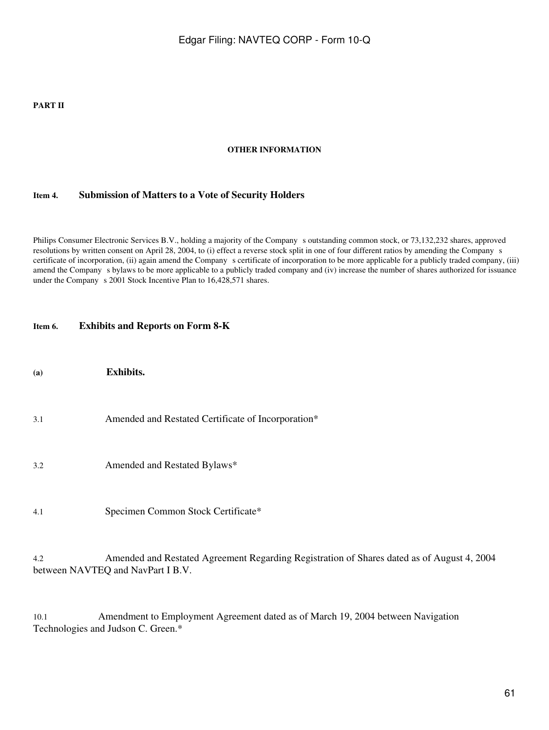### **PART II**

### **OTHER INFORMATION**

### **Item 4. Submission of Matters to a Vote of Security Holders**

Philips Consumer Electronic Services B.V., holding a majority of the Company s outstanding common stock, or 73,132,232 shares, approved resolutions by written consent on April 28, 2004, to (i) effect a reverse stock split in one of four different ratios by amending the Companys certificate of incorporation, (ii) again amend the Company s certificate of incorporation to be more applicable for a publicly traded company, (iii) amend the Company s bylaws to be more applicable to a publicly traded company and (iv) increase the number of shares authorized for issuance under the Company s 2001 Stock Incentive Plan to 16,428,571 shares.

### **Item 6. Exhibits and Reports on Form 8-K**

| (a) | <b>Exhibits.</b>                                   |
|-----|----------------------------------------------------|
| 3.1 | Amended and Restated Certificate of Incorporation* |
| 3.2 | Amended and Restated Bylaws*                       |
| 4.1 | Specimen Common Stock Certificate*                 |

## 4.2 Amended and Restated Agreement Regarding Registration of Shares dated as of August 4, 2004 between NAVTEQ and NavPart I B.V.

10.1 Amendment to Employment Agreement dated as of March 19, 2004 between Navigation Technologies and Judson C. Green.\*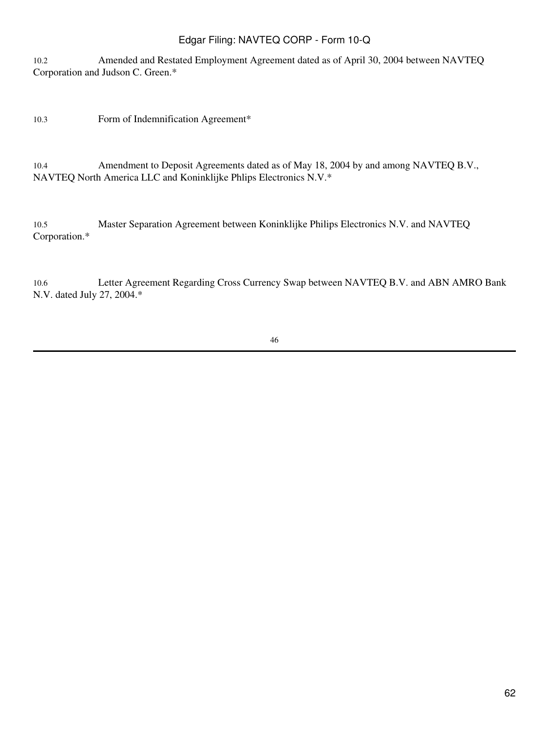10.2 Amended and Restated Employment Agreement dated as of April 30, 2004 between NAVTEQ Corporation and Judson C. Green.\*

10.3 Form of Indemnification Agreement\*

10.4 Amendment to Deposit Agreements dated as of May 18, 2004 by and among NAVTEQ B.V., NAVTEQ North America LLC and Koninklijke Phlips Electronics N.V.\*

10.5 Master Separation Agreement between Koninklijke Philips Electronics N.V. and NAVTEQ Corporation.\*

10.6 Letter Agreement Regarding Cross Currency Swap between NAVTEQ B.V. and ABN AMRO Bank N.V. dated July 27, 2004.\*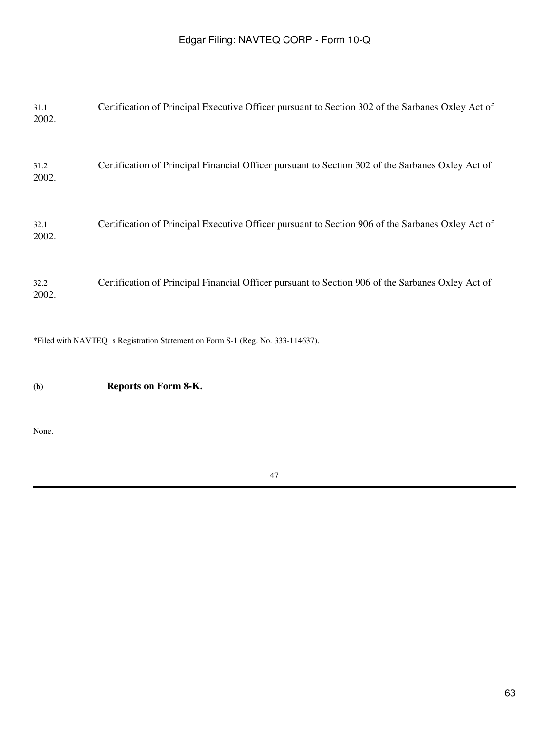| 31.1<br>2002. | Certification of Principal Executive Officer pursuant to Section 302 of the Sarbanes Oxley Act of |
|---------------|---------------------------------------------------------------------------------------------------|
| 31.2<br>2002. | Certification of Principal Financial Officer pursuant to Section 302 of the Sarbanes Oxley Act of |
| 32.1<br>2002. | Certification of Principal Executive Officer pursuant to Section 906 of the Sarbanes Oxley Act of |
| 32.2<br>2002. | Certification of Principal Financial Officer pursuant to Section 906 of the Sarbanes Oxley Act of |
|               | *Filed with NAVTEQ s Registration Statement on Form S-1 (Reg. No. 333-114637).                    |

**(b) Reports on Form 8-K.**

None.